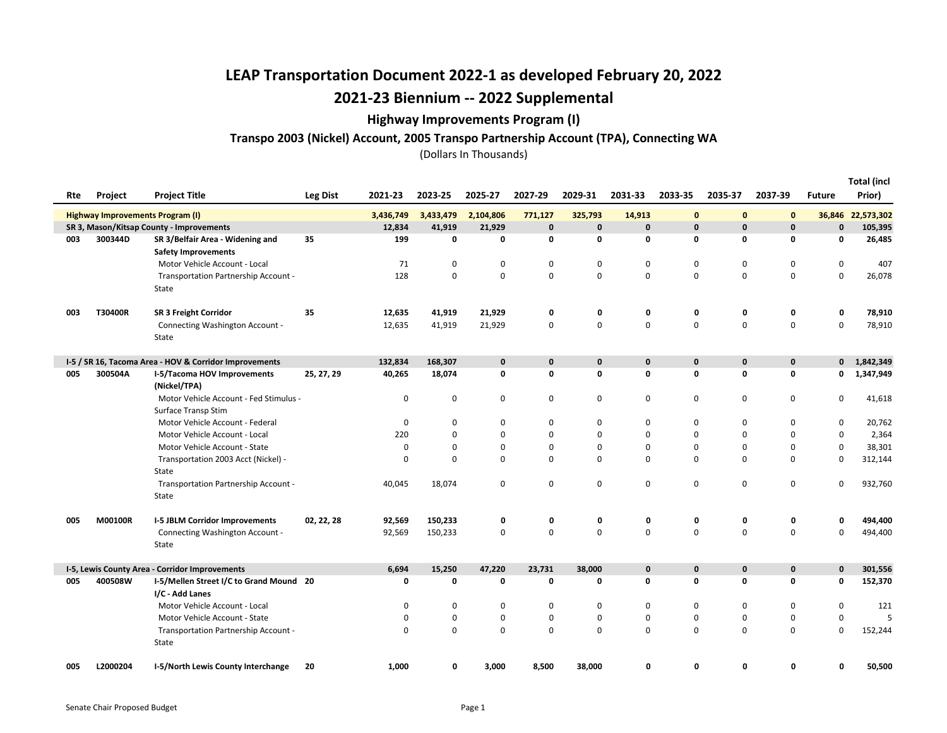### Highway Improvements Program (I)

### Transpo 2003 (Nickel) Account, 2005 Transpo Partnership Account (TPA), Connecting WA

|     |          |                                                                |                 |             |             |             |             |             |             |             |             |             |               | <b>Total (incl</b> |
|-----|----------|----------------------------------------------------------------|-----------------|-------------|-------------|-------------|-------------|-------------|-------------|-------------|-------------|-------------|---------------|--------------------|
| Rte | Project  | <b>Project Title</b>                                           | <b>Leg Dist</b> | 2021-23     | 2023-25     | 2025-27     | 2027-29     | 2029-31     | 2031-33     | 2033-35     | 2035-37     | 2037-39     | <b>Future</b> | Prior)             |
|     |          | Highway Improvements Program (I)                               |                 | 3,436,749   | 3,433,479   | 2,104,806   | 771,127     | 325,793     | 14,913      | 0           | $\bf{0}$    | $\mathbf 0$ | 36,846        | 22,573,302         |
|     |          | SR 3, Mason/Kitsap County - Improvements                       |                 | 12,834      | 41,919      | 21,929      | $\mathbf 0$ | $\mathbf 0$ | $\bf{0}$    | $\mathbf 0$ | $\pmb{0}$   | $\mathbf 0$ | $\mathbf 0$   | 105,395            |
| 003 | 300344D  | SR 3/Belfair Area - Widening and<br><b>Safety Improvements</b> | 35              | 199         | 0           | $\mathbf 0$ | 0           | 0           | 0           | 0           | 0           | 0           | $\mathbf 0$   | 26,485             |
|     |          | Motor Vehicle Account - Local                                  |                 | 71          | $\mathbf 0$ | 0           | 0           | 0           | 0           | 0           | 0           | 0           | 0             | 407                |
|     |          | Transportation Partnership Account -                           |                 | 128         | $\mathbf 0$ | $\mathsf 0$ | 0           | $\mathbf 0$ | 0           | 0           | $\mathbf 0$ | $\mathbf 0$ | $\mathbf 0$   | 26,078             |
|     |          | State                                                          |                 |             |             |             |             |             |             |             |             |             |               |                    |
| 003 | T30400R  | <b>SR 3 Freight Corridor</b>                                   | 35              | 12,635      | 41,919      | 21,929      | 0           | 0           | 0           | 0           | 0           | 0           | 0             | 78,910             |
|     |          | Connecting Washington Account -                                |                 | 12,635      | 41,919      | 21,929      | 0           | 0           | $\mathbf 0$ | 0           | $\mathbf 0$ | $\mathsf 0$ | $\mathbf 0$   | 78,910             |
|     |          | State                                                          |                 |             |             |             |             |             |             |             |             |             |               |                    |
|     |          | I-5 / SR 16, Tacoma Area - HOV & Corridor Improvements         |                 | 132,834     | 168,307     | $\mathbf 0$ | 0           | $\mathbf 0$ | $\pmb{0}$   | 0           | 0           | $\pmb{0}$   | $\mathbf 0$   | 1,842,349          |
| 005 | 300504A  | I-5/Tacoma HOV Improvements<br>(Nickel/TPA)                    | 25, 27, 29      | 40,265      | 18,074      | 0           | 0           | 0           | 0           | 0           | 0           | 0           | 0             | 1,347,949          |
|     |          | Motor Vehicle Account - Fed Stimulus -                         |                 | $\mathbf 0$ | 0           | $\mathbf 0$ | 0           | 0           | $\mathbf 0$ | 0           | 0           | 0           | 0             | 41,618             |
|     |          | Surface Transp Stim                                            |                 |             |             |             |             |             |             |             |             |             |               |                    |
|     |          | Motor Vehicle Account - Federal                                |                 | $\mathbf 0$ | $\mathbf 0$ | 0           | 0           | 0           | $\mathbf 0$ | $\Omega$    | 0           | $\mathbf 0$ | 0             | 20,762             |
|     |          | Motor Vehicle Account - Local                                  |                 | 220         | 0           | 0           | 0           | 0           | 0           | 0           | 0           | 0           | 0             | 2,364              |
|     |          | Motor Vehicle Account - State                                  |                 | 0           | 0           | $\pmb{0}$   | 0           | 0           | $\mathbf 0$ | 0           | 0           | $\mathbf 0$ | $\mathbf 0$   | 38,301             |
|     |          | Transportation 2003 Acct (Nickel) -                            |                 | $\Omega$    | $\mathbf 0$ | $\mathbf 0$ | 0           | 0           | $\mathbf 0$ | $\Omega$    | 0           | $\mathbf 0$ | $\mathbf 0$   | 312,144            |
|     |          | State                                                          |                 |             |             |             |             |             |             |             |             |             |               |                    |
|     |          | Transportation Partnership Account -                           |                 | 40,045      | 18,074      | 0           | 0           | 0           | 0           | 0           | 0           | $\mathsf 0$ | $\mathbf 0$   | 932,760            |
|     |          | State                                                          |                 |             |             |             |             |             |             |             |             |             |               |                    |
| 005 | M00100R  | <b>I-5 JBLM Corridor Improvements</b>                          | 02, 22, 28      | 92,569      | 150,233     | 0           | 0           | 0           | 0           | 0           | 0           | 0           | 0             | 494,400            |
|     |          | Connecting Washington Account -                                |                 | 92,569      | 150,233     | $\mathsf 0$ | 0           | 0           | $\pmb{0}$   | $\mathsf 0$ | $\pmb{0}$   | $\mathsf 0$ | $\mathbf 0$   | 494,400            |
|     |          | State                                                          |                 |             |             |             |             |             |             |             |             |             |               |                    |
|     |          | I-5, Lewis County Area - Corridor Improvements                 |                 | 6,694       | 15,250      | 47,220      | 23,731      | 38,000      | $\mathbf 0$ | $\mathbf 0$ | $\mathbf 0$ | $\mathbf 0$ | $\mathbf 0$   | 301,556            |
| 005 | 400508W  | I-5/Mellen Street I/C to Grand Mound 20<br>I/C - Add Lanes     |                 | 0           | 0           | 0           | 0           | 0           | 0           | 0           | 0           | $\mathbf 0$ | 0             | 152,370            |
|     |          | Motor Vehicle Account - Local                                  |                 | $\mathbf 0$ | $\mathbf 0$ | $\pmb{0}$   | 0           | 0           | 0           | 0           | 0           | $\mathbf 0$ | $\mathbf 0$   | 121                |
|     |          | Motor Vehicle Account - State                                  |                 | 0           | 0           | 0           | 0           | 0           | 0           | 0           | 0           | $\mathbf 0$ | $\mathbf 0$   | 5                  |
|     |          | Transportation Partnership Account -                           |                 | $\Omega$    | $\Omega$    | $\mathbf 0$ | $\mathbf 0$ | 0           | $\mathbf 0$ | $\Omega$    | $\Omega$    | $\mathbf 0$ | $\Omega$      | 152,244            |
|     |          | State                                                          |                 |             |             |             |             |             |             |             |             |             |               |                    |
| 005 | L2000204 | I-5/North Lewis County Interchange                             | 20              | 1,000       | 0           | 3,000       | 8,500       | 38,000      | 0           | 0           | 0           | 0           | 0             | 50,500             |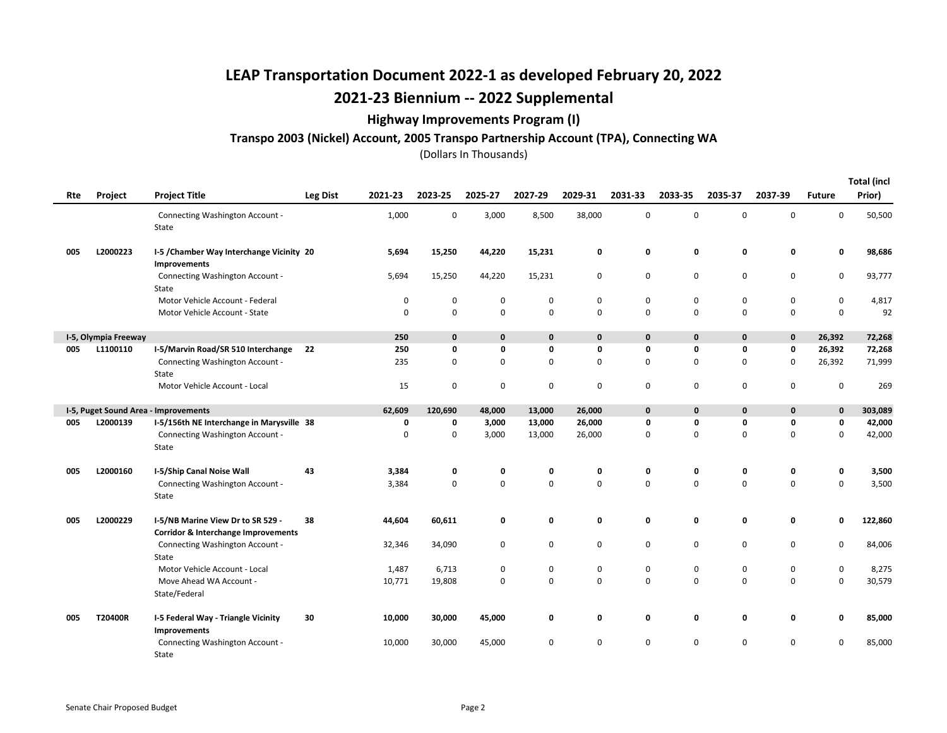### Highway Improvements Program (I)

#### Transpo 2003 (Nickel) Account, 2005 Transpo Partnership Account (TPA), Connecting WA

(Dollars In Thousands)

Total (incl

| Rte | Project              | <b>Project Title</b>                                                                | <b>Leg Dist</b> | 2021-23     | 2023-25      | 2025-27 | 2027-29     | 2029-31      | 2031-33      | 2033-35      | 2035-37      | 2037-39      | <b>Future</b> | Total (incl<br>Prior) |
|-----|----------------------|-------------------------------------------------------------------------------------|-----------------|-------------|--------------|---------|-------------|--------------|--------------|--------------|--------------|--------------|---------------|-----------------------|
|     |                      | Connecting Washington Account -<br>State                                            |                 | 1,000       | 0            | 3,000   | 8,500       | 38,000       | 0            | $\mathbf 0$  | 0            | 0            | 0             | 50,500                |
| 005 | L2000223             | I-5 / Chamber Way Interchange Vicinity 20<br>Improvements                           |                 | 5,694       | 15,250       | 44,220  | 15,231      | 0            | 0            | 0            | 0            | 0            | 0             | 98,686                |
|     |                      | Connecting Washington Account -<br>State                                            |                 | 5,694       | 15,250       | 44,220  | 15,231      | 0            | 0            | $\mathbf 0$  | 0            | 0            | 0             | 93,777                |
|     |                      | Motor Vehicle Account - Federal                                                     |                 | $\mathbf 0$ | $\mathbf 0$  | 0       | 0           | $\mathbf 0$  | 0            | $\mathbf 0$  | 0            | 0            | 0             | 4,817                 |
|     |                      | Motor Vehicle Account - State                                                       |                 | $\mathbf 0$ | $\mathbf 0$  | 0       | 0           | $\mathbf 0$  | $\mathbf 0$  | $\mathbf 0$  | 0            | 0            | 0             | 92                    |
|     | I-5, Olympia Freeway |                                                                                     |                 | 250         | $\mathbf{0}$ | 0       | $\mathbf 0$ | $\mathbf{0}$ | $\mathbf{0}$ | $\mathbf{0}$ | $\mathbf{0}$ | $\mathbf{0}$ | 26,392        | 72,268                |
| 005 | L1100110             | I-5/Marvin Road/SR 510 Interchange                                                  | 22              | 250         | 0            | 0       | 0           | 0            | 0            | 0            | 0            | 0            | 26,392        | 72,268                |
|     |                      | Connecting Washington Account -<br>State                                            |                 | 235         | 0            | 0       | 0           | $\mathbf 0$  | $\Omega$     | $\mathbf 0$  | 0            | 0            | 26,392        | 71,999                |
|     |                      | Motor Vehicle Account - Local                                                       |                 | 15          | 0            | 0       | 0           | 0            | 0            | 0            | 0            | 0            | 0             | 269                   |
|     |                      | I-5, Puget Sound Area - Improvements                                                |                 | 62,609      | 120,690      | 48,000  | 13,000      | 26,000       | $\mathbf 0$  | 0            | 0            | 0            | 0             | 303,089               |
| 005 | L2000139             | I-5/156th NE Interchange in Marysville 38                                           |                 | 0           | 0            | 3,000   | 13,000      | 26,000       | $\mathbf 0$  | 0            | 0            | 0            | 0             | 42,000                |
|     |                      | Connecting Washington Account -<br>State                                            |                 | 0           | $\mathbf 0$  | 3,000   | 13,000      | 26,000       | 0            | $\mathbf 0$  | 0            | 0            | 0             | 42,000                |
| 005 | L2000160             | I-5/Ship Canal Noise Wall                                                           | 43              | 3,384       | 0            | 0       | 0           | 0            | 0            | 0            | 0            | 0            | 0             | 3,500                 |
|     |                      | Connecting Washington Account -<br>State                                            |                 | 3,384       | $\mathbf 0$  | 0       | 0           | $\Omega$     | $\Omega$     | $\Omega$     | 0            | $\Omega$     | 0             | 3,500                 |
| 005 | L2000229             | I-5/NB Marine View Dr to SR 529 -<br><b>Corridor &amp; Interchange Improvements</b> | 38              | 44,604      | 60,611       | 0       | 0           | 0            | 0            | 0            | 0            | 0            | 0             | 122,860               |
|     |                      | Connecting Washington Account -<br>State                                            |                 | 32,346      | 34,090       | 0       | 0           | $\mathbf 0$  | $\mathbf 0$  | $\mathbf 0$  | 0            | 0            | 0             | 84,006                |
|     |                      | Motor Vehicle Account - Local                                                       |                 | 1,487       | 6,713        | 0       | 0           | 0            | 0            | 0            | 0            | 0            | 0             | 8,275                 |
|     |                      | Move Ahead WA Account -                                                             |                 | 10,771      | 19,808       | 0       | 0           | $\mathbf 0$  | $\mathbf 0$  | $\mathbf 0$  | 0            | 0            | 0             | 30,579                |
|     |                      | State/Federal                                                                       |                 |             |              |         |             |              |              |              |              |              |               |                       |
| 005 | T20400R              | I-5 Federal Way - Triangle Vicinity<br>Improvements                                 | 30              | 10,000      | 30,000       | 45,000  | 0           | 0            | 0            | 0            | 0            | 0            | 0             | 85,000                |
|     |                      | Connecting Washington Account -<br>State                                            |                 | 10,000      | 30,000       | 45,000  | 0           | $\Omega$     | $\Omega$     | $\mathbf 0$  | 0            | 0            | 0             | 85,000                |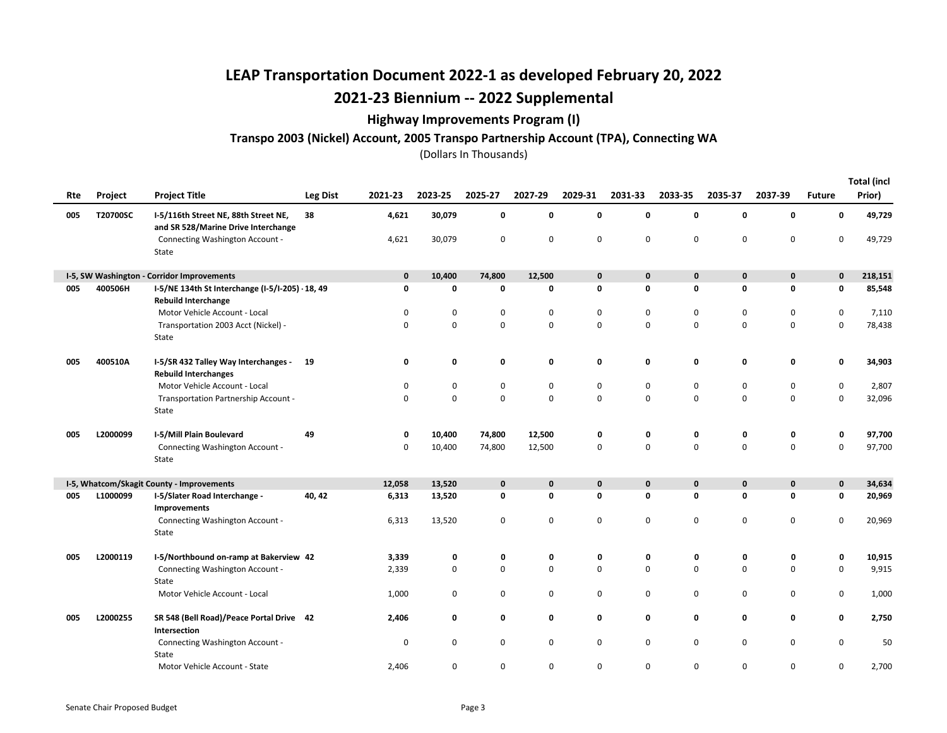### Highway Improvements Program (I)

#### Transpo 2003 (Nickel) Account, 2005 Transpo Partnership Account (TPA), Connecting WA

| Rte | Project  | <b>Project Title</b>                                                           | Leg Dist | 2021-23     | 2023-25     | 2025-27     | 2027-29     | 2029-31     | 2031-33      | 2033-35      | 2035-37     | 2037-39      | <b>Future</b> | <b>Total (incl</b><br>Prior) |
|-----|----------|--------------------------------------------------------------------------------|----------|-------------|-------------|-------------|-------------|-------------|--------------|--------------|-------------|--------------|---------------|------------------------------|
| 005 | T20700SC | I-5/116th Street NE, 88th Street NE,<br>and SR 528/Marine Drive Interchange    | 38       | 4,621       | 30,079      | 0           | 0           | 0           | 0            | 0            | $\mathbf 0$ | $\mathbf 0$  | 0             | 49,729                       |
|     |          | Connecting Washington Account -<br>State                                       |          | 4,621       | 30,079      | 0           | 0           | 0           | $\mathbf 0$  | $\mathbf 0$  | $\mathbf 0$ | $\mathbf 0$  | 0             | 49,729                       |
|     |          | I-5, SW Washington - Corridor Improvements                                     |          | 0           | 10,400      | 74,800      | 12,500      | $\mathbf 0$ | 0            | 0            | $\mathbf 0$ | $\mathbf 0$  | 0             | 218,151                      |
| 005 | 400506H  | I-5/NE 134th St Interchange (I-5/I-205) · 18, 49<br><b>Rebuild Interchange</b> |          | 0           | 0           | 0           | 0           | 0           | 0            | 0            | 0           | 0            | 0             | 85,548                       |
|     |          | Motor Vehicle Account - Local                                                  |          | 0           | 0           | 0           | 0           | 0           | 0            | 0            | 0           | 0            | 0             | 7,110                        |
|     |          | Transportation 2003 Acct (Nickel) -<br>State                                   |          | 0           | $\mathbf 0$ | $\mathbf 0$ | 0           | 0           | $\mathbf 0$  | 0            | $\mathbf 0$ | $\mathbf 0$  | $\mathbf 0$   | 78,438                       |
| 005 | 400510A  | I-5/SR 432 Talley Way Interchanges - 19<br><b>Rebuild Interchanges</b>         |          | 0           | $\mathbf 0$ | 0           | 0           | 0           | 0            | 0            | 0           | $\mathbf 0$  | 0             | 34,903                       |
|     |          | Motor Vehicle Account - Local                                                  |          | 0           | 0           | 0           | 0           | 0           | 0            | 0            | 0           | 0            | $\mathbf 0$   | 2,807                        |
|     |          | Transportation Partnership Account -<br>State                                  |          | $\mathbf 0$ | $\mathbf 0$ | $\mathbf 0$ | $\mathbf 0$ | $\mathbf 0$ | $\Omega$     | $\Omega$     | $\mathbf 0$ | $\mathbf 0$  | $\mathbf 0$   | 32,096                       |
| 005 | L2000099 | I-5/Mill Plain Boulevard                                                       | 49       | 0           | 10,400      | 74,800      | 12,500      | 0           | 0            | 0            | 0           | 0            | 0             | 97,700                       |
|     |          | Connecting Washington Account -<br>State                                       |          | 0           | 10,400      | 74,800      | 12,500      | 0           | $\mathbf 0$  | $\mathbf 0$  | $\mathbf 0$ | $\mathbf 0$  | $\mathbf 0$   | 97,700                       |
|     |          | I-5, Whatcom/Skagit County - Improvements                                      |          | 12,058      | 13,520      | $\mathbf 0$ | 0           | $\mathbf 0$ | $\mathbf{0}$ | $\mathbf{0}$ | $\mathbf 0$ | $\mathbf{0}$ | $\mathbf 0$   | 34,634                       |
| 005 | L1000099 | I-5/Slater Road Interchange -<br>Improvements                                  | 40, 42   | 6,313       | 13,520      | 0           | 0           | 0           | 0            | 0            | 0           | $\mathbf 0$  | 0             | 20,969                       |
|     |          | Connecting Washington Account -<br>State                                       |          | 6,313       | 13,520      | 0           | 0           | 0           | $\mathbf 0$  | $\mathbf 0$  | $\mathbf 0$ | $\mathbf 0$  | 0             | 20,969                       |
| 005 | L2000119 | I-5/Northbound on-ramp at Bakerview 42                                         |          | 3,339       | 0           | 0           | 0           | 0           | 0            | 0            | 0           | 0            | 0             | 10,915                       |
|     |          | Connecting Washington Account -<br>State                                       |          | 2,339       | $\mathbf 0$ | $\mathbf 0$ | 0           | 0           | $\Omega$     | 0            | 0           | $\mathbf 0$  | $\mathbf 0$   | 9,915                        |
|     |          | Motor Vehicle Account - Local                                                  |          | 1,000       | $\mathbf 0$ | 0           | 0           | 0           | $\mathbf 0$  | 0            | $\mathbf 0$ | $\mathbf 0$  | 0             | 1,000                        |
| 005 | L2000255 | SR 548 (Bell Road)/Peace Portal Drive 42<br>Intersection                       |          | 2,406       | 0           | 0           | 0           | 0           | 0            | 0            | 0           | 0            | 0             | 2,750                        |
|     |          | Connecting Washington Account -<br>State                                       |          | 0           | $\mathbf 0$ | 0           | 0           | 0           | 0            | 0            | $\mathbf 0$ | $\mathbf 0$  | $\mathbf 0$   | 50                           |
|     |          | Motor Vehicle Account - State                                                  |          | 2,406       | $\mathbf 0$ | 0           | 0           | 0           | 0            | 0            | $\mathbf 0$ | $\mathbf 0$  | 0             | 2,700                        |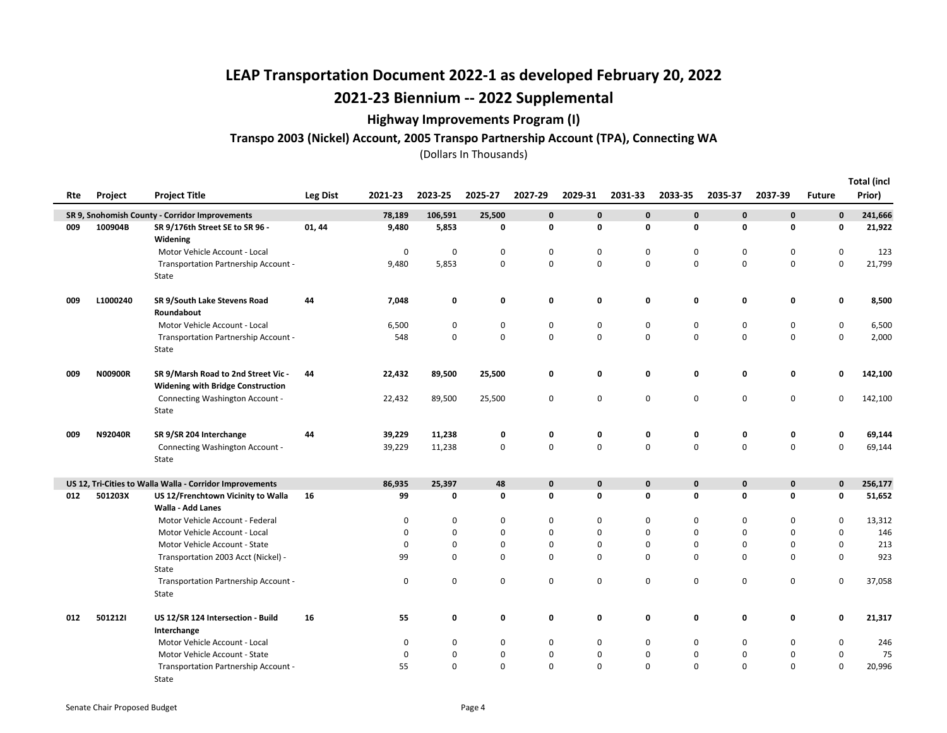### Highway Improvements Program (I)

#### Transpo 2003 (Nickel) Account, 2005 Transpo Partnership Account (TPA), Connecting WA

|     |                |                                                                                 |                 |          |             |             |             |             |              |              |             |              |               | <b>Total (incl</b> |
|-----|----------------|---------------------------------------------------------------------------------|-----------------|----------|-------------|-------------|-------------|-------------|--------------|--------------|-------------|--------------|---------------|--------------------|
| Rte | Project        | <b>Project Title</b>                                                            | <b>Leg Dist</b> | 2021-23  | 2023-25     | 2025-27     | 2027-29     | 2029-31     | 2031-33      | 2033-35      | 2035-37     | 2037-39      | <b>Future</b> | Prior)             |
|     |                | SR 9, Snohomish County - Corridor Improvements                                  |                 | 78,189   | 106,591     | 25,500      | $\mathbf 0$ | $\mathbf 0$ | $\mathbf{0}$ | $\mathbf{0}$ | $\mathbf 0$ | $\mathbf{0}$ | $\mathbf 0$   | 241,666            |
| 009 | 100904B        | SR 9/176th Street SE to SR 96 -<br>Widening                                     | 01, 44          | 9,480    | 5,853       | 0           | 0           | 0           | $\mathbf 0$  | 0            | 0           | 0            | 0             | 21,922             |
|     |                | Motor Vehicle Account - Local                                                   |                 | 0        | $\mathbf 0$ | 0           | $\mathbf 0$ | $\mathbf 0$ | 0            | 0            | 0           | 0            | 0             | 123                |
|     |                | Transportation Partnership Account -<br>State                                   |                 | 9,480    | 5,853       | $\mathsf 0$ | $\mathsf 0$ | $\mathsf 0$ | 0            | $\Omega$     | $\mathbf 0$ | $\mathbf 0$  | $\mathbf 0$   | 21,799             |
| 009 | L1000240       | SR 9/South Lake Stevens Road<br>Roundabout                                      | 44              | 7,048    | 0           | 0           | 0           | 0           | 0            | 0            | 0           | $\mathbf 0$  | 0             | 8,500              |
|     |                | Motor Vehicle Account - Local                                                   |                 | 6,500    | 0           | 0           | $\mathbf 0$ | $\mathbf 0$ | $\mathbf 0$  | 0            | 0           | $\mathbf 0$  | 0             | 6,500              |
|     |                | Transportation Partnership Account -<br>State                                   |                 | 548      | 0           | $\mathbf 0$ | $\pmb{0}$   | $\mathbf 0$ | 0            | 0            | $\mathbf 0$ | $\mathbf 0$  | 0             | 2,000              |
| 009 | <b>N00900R</b> | SR 9/Marsh Road to 2nd Street Vic -<br><b>Widening with Bridge Construction</b> | 44              | 22,432   | 89,500      | 25,500      | 0           | 0           | 0            | 0            | 0           | 0            | 0             | 142,100            |
|     |                | Connecting Washington Account -<br>State                                        |                 | 22,432   | 89,500      | 25,500      | $\mathsf 0$ | 0           | $\mathbf 0$  | 0            | $\pmb{0}$   | $\mathbf 0$  | 0             | 142,100            |
| 009 | N92040R        | SR 9/SR 204 Interchange                                                         | 44              | 39,229   | 11,238      | 0           | $\mathbf 0$ | 0           | 0            | 0            | 0           | 0            | 0             | 69,144             |
|     |                | Connecting Washington Account -<br>State                                        |                 | 39,229   | 11,238      | 0           | $\mathbf 0$ | $\pmb{0}$   | 0            | $\mathbf 0$  | 0           | $\pmb{0}$    | 0             | 69,144             |
|     |                | US 12, Tri-Cities to Walla Walla - Corridor Improvements                        |                 | 86,935   | 25,397      | 48          | $\pmb{0}$   | $\pmb{0}$   | $\mathbf 0$  | $\mathbf 0$  | $\pmb{0}$   | $\mathbf 0$  | $\mathbf 0$   | 256,177            |
| 012 | 501203X        | US 12/Frenchtown Vicinity to Walla<br><b>Walla - Add Lanes</b>                  | 16              | 99       | 0           | $\mathbf 0$ | 0           | 0           | $\mathbf 0$  | 0            | 0           | $\mathbf 0$  | 0             | 51,652             |
|     |                | Motor Vehicle Account - Federal                                                 |                 | 0        | 0           | 0           | $\mathbf 0$ | $\mathbf 0$ | $\mathbf 0$  | 0            | $\mathbf 0$ | $\mathbf 0$  | 0             | 13,312             |
|     |                | Motor Vehicle Account - Local                                                   |                 | 0        | $\mathbf 0$ | $\mathbf 0$ | $\mathbf 0$ | 0           | $\Omega$     | $\mathbf 0$  | 0           | $\Omega$     | $\Omega$      | 146                |
|     |                | Motor Vehicle Account - State                                                   |                 | 0        | 0           | 0           | 0           | 0           | 0            | 0            | 0           | $\mathbf 0$  | $\mathbf 0$   | 213                |
|     |                | Transportation 2003 Acct (Nickel) -<br>State                                    |                 | 99       | 0           | 0           | $\mathbf 0$ | $\mathbf 0$ | 0            | 0            | 0           | $\mathbf 0$  | 0             | 923                |
|     |                | Transportation Partnership Account -<br>State                                   |                 | 0        | 0           | 0           | $\mathbf 0$ | $\mathsf 0$ | 0            | 0            | 0           | $\mathbf 0$  | $\mathbf 0$   | 37,058             |
| 012 | 5012121        | US 12/SR 124 Intersection - Build<br>Interchange                                | 16              | 55       | 0           | 0           | 0           | 0           | 0            | 0            | 0           | 0            | 0             | 21,317             |
|     |                | Motor Vehicle Account - Local                                                   |                 | 0        | 0           | 0           | $\mathbf 0$ | $\mathbf 0$ | 0            | 0            | 0           | 0            | 0             | 246                |
|     |                | Motor Vehicle Account - State                                                   |                 | $\Omega$ | 0           | $\mathbf 0$ | 0           | 0           | $\mathbf 0$  | 0            | $\mathbf 0$ | $\mathbf 0$  | 0             | 75                 |
|     |                | Transportation Partnership Account -                                            |                 | 55       | 0           | $\Omega$    | $\mathbf 0$ | $\mathbf 0$ | $\mathbf 0$  | $\Omega$     | 0           | $\mathbf 0$  | $\mathbf 0$   | 20,996             |

State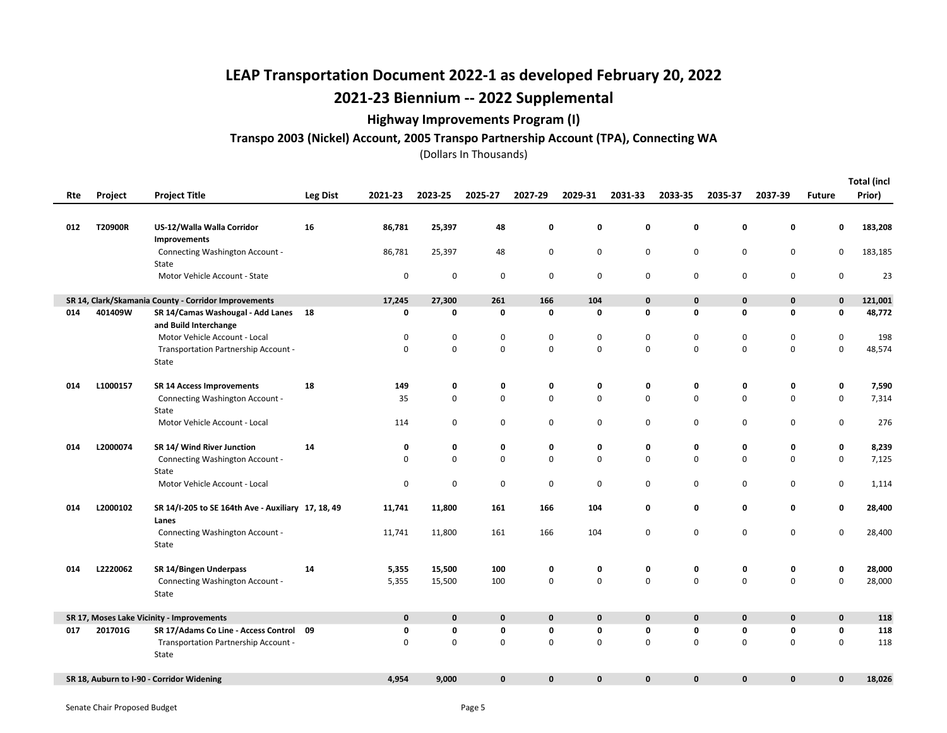### Highway Improvements Program (I)

#### Transpo 2003 (Nickel) Account, 2005 Transpo Partnership Account (TPA), Connecting WA

| Rte | Project  | <b>Project Title</b>                                          | Leg Dist | 2021-23     | 2023-25     | 2025-27 | 2027-29      | 2029-31      | 2031-33      | 2033-35     | 2035-37     | 2037-39      | <b>Future</b> | <b>Total (incl</b><br>Prior) |
|-----|----------|---------------------------------------------------------------|----------|-------------|-------------|---------|--------------|--------------|--------------|-------------|-------------|--------------|---------------|------------------------------|
|     |          |                                                               |          |             |             |         |              |              |              |             |             |              |               |                              |
| 012 | T20900R  | US-12/Walla Walla Corridor<br>Improvements                    | 16       | 86,781      | 25,397      | 48      | 0            | 0            | 0            | $\mathbf 0$ | 0           | 0            | 0             | 183,208                      |
|     |          | Connecting Washington Account -<br>State                      |          | 86,781      | 25,397      | 48      | 0            | 0            | 0            | $\mathbf 0$ | $\mathbf 0$ | 0            | 0             | 183,185                      |
|     |          | Motor Vehicle Account - State                                 |          | 0           | $\mathbf 0$ | 0       | 0            | 0            | 0            | $\mathbf 0$ | 0           | 0            | 0             | 23                           |
|     |          | SR 14, Clark/Skamania County - Corridor Improvements          |          | 17,245      | 27,300      | 261     | 166          | 104          | $\mathbf 0$  | $\mathbf 0$ | $\mathbf 0$ | $\pmb{0}$    | 0             | 121,001                      |
| 014 | 401409W  | SR 14/Camas Washougal - Add Lanes 18<br>and Build Interchange |          | 0           | 0           | 0       | 0            | 0            | 0            | 0           | 0           | 0            | 0             | 48,772                       |
|     |          | Motor Vehicle Account - Local                                 |          | 0           | $\pmb{0}$   | 0       | 0            | 0            | $\mathbf 0$  | $\pmb{0}$   | 0           | $\mathbf 0$  | 0             | 198                          |
|     |          | Transportation Partnership Account -<br>State                 |          | $\mathbf 0$ | $\mathsf 0$ | 0       | 0            | $\mathbf 0$  | $\Omega$     | $\mathbf 0$ | $\mathbf 0$ | $\mathbf 0$  | 0             | 48,574                       |
| 014 | L1000157 | <b>SR 14 Access Improvements</b>                              | 18       | 149         | 0           | 0       | 0            | 0            | 0            | 0           | 0           | 0            | 0             | 7,590                        |
|     |          | Connecting Washington Account -<br>State                      |          | 35          | $\mathbf 0$ | 0       | 0            | $\mathbf 0$  | $\Omega$     | $\mathbf 0$ | $\mathbf 0$ | $\mathbf 0$  | 0             | 7,314                        |
|     |          | Motor Vehicle Account - Local                                 |          | 114         | 0           | 0       | 0            | 0            | 0            | $\mathbf 0$ | 0           | 0            | 0             | 276                          |
| 014 | L2000074 | SR 14/ Wind River Junction                                    | 14       | 0           | 0           | 0       | 0            | 0            | 0            | 0           | 0           | 0            | 0             | 8,239                        |
|     |          | Connecting Washington Account -<br>State                      |          | $\mathbf 0$ | $\mathbf 0$ | 0       | 0            | $\mathbf 0$  | $\Omega$     | $\Omega$    | $\mathbf 0$ | $\mathbf 0$  | 0             | 7,125                        |
|     |          | Motor Vehicle Account - Local                                 |          | $\mathsf 0$ | $\mathbf 0$ | 0       | 0            | 0            | 0            | $\mathbf 0$ | 0           | $\mathbf 0$  | 0             | 1,114                        |
| 014 | L2000102 | SR 14/I-205 to SE 164th Ave - Auxiliary 17, 18, 49<br>Lanes   |          | 11,741      | 11,800      | 161     | 166          | 104          | 0            | 0           | 0           | 0            | 0             | 28,400                       |
|     |          | Connecting Washington Account -<br>State                      |          | 11,741      | 11,800      | 161     | 166          | 104          | $\mathbf 0$  | $\mathbf 0$ | $\mathbf 0$ | $\mathbf 0$  | 0             | 28,400                       |
| 014 | L2220062 | SR 14/Bingen Underpass                                        | 14       | 5,355       | 15,500      | 100     | 0            | 0            | 0            | $\mathbf 0$ | 0           | 0            | 0             | 28,000                       |
|     |          | Connecting Washington Account -<br>State                      |          | 5,355       | 15,500      | 100     | 0            | $\pmb{0}$    | $\mathbf 0$  | $\mathbf 0$ | 0           | 0            | 0             | 28,000                       |
|     |          | SR 17, Moses Lake Vicinity - Improvements                     |          | $\mathbf 0$ | $\mathbf 0$ | 0       | 0            | 0            | $\mathbf{0}$ | $\mathbf 0$ | $\mathbf 0$ | $\mathbf 0$  | 0             | 118                          |
| 017 | 201701G  | SR 17/Adams Co Line - Access Control 09                       |          | 0           | 0           | 0       | 0            | 0            | $\mathbf 0$  | $\mathbf 0$ | 0           | 0            | 0             | 118                          |
|     |          | Transportation Partnership Account -<br>State                 |          | $\mathbf 0$ | 0           | 0       | 0            | 0            | $\mathbf 0$  | $\mathbf 0$ | $\mathbf 0$ | 0            | 0             | 118                          |
|     |          | SR 18, Auburn to I-90 - Corridor Widening                     |          | 4,954       | 9,000       | 0       | $\mathbf{0}$ | $\mathbf{0}$ | $\mathbf{0}$ | $\mathbf 0$ | $\mathbf 0$ | $\mathbf{0}$ | 0             | 18,026                       |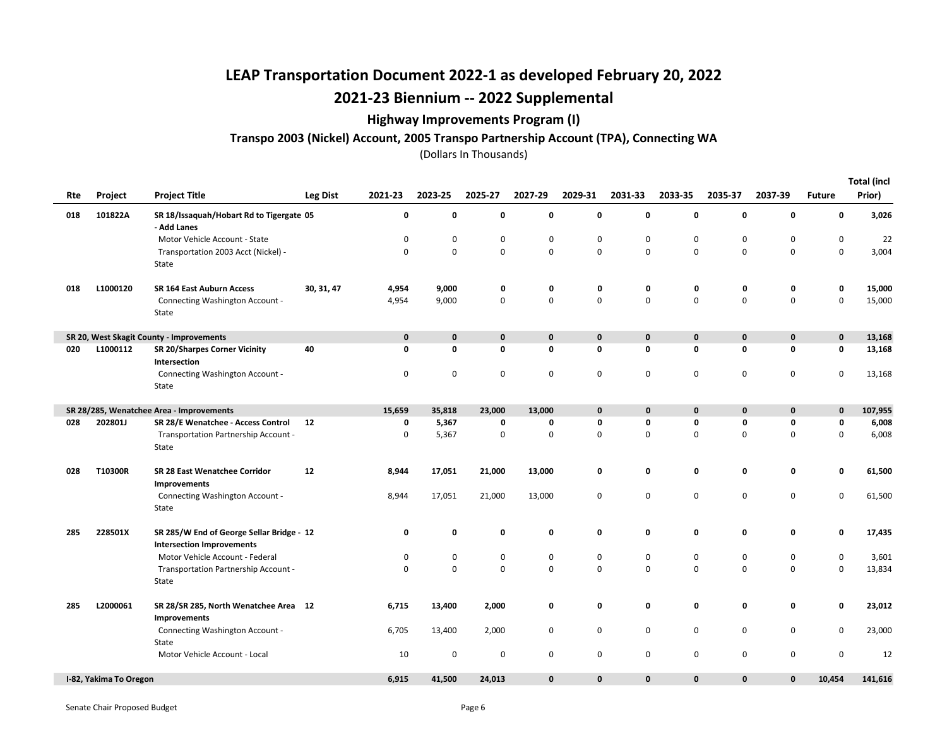### Highway Improvements Program (I)

#### Transpo 2003 (Nickel) Account, 2005 Transpo Partnership Account (TPA), Connecting WA

| Rte | Project                | <b>Project Title</b>                                                          | Leg Dist   | 2021-23     | 2023-25     | 2025-27 | 2027-29      | 2029-31     | 2031-33      | 2033-35     | 2035-37      | 2037-39      | <b>Future</b>       | <b>Total (incl</b><br>Prior) |
|-----|------------------------|-------------------------------------------------------------------------------|------------|-------------|-------------|---------|--------------|-------------|--------------|-------------|--------------|--------------|---------------------|------------------------------|
| 018 | 101822A                | SR 18/Issaquah/Hobart Rd to Tigergate 05<br>- Add Lanes                       |            | 0           | $\mathbf 0$ | 0       | 0            | 0           | 0            | 0           | 0            | $\mathbf 0$  | 0                   | 3,026                        |
|     |                        | Motor Vehicle Account - State                                                 |            | 0           | 0           | 0       | 0            | 0           | 0            | 0           | $\mathbf 0$  | 0            | $\mathbf 0$         | 22                           |
|     |                        | Transportation 2003 Acct (Nickel) -<br>State                                  |            | $\mathsf 0$ | $\mathbf 0$ | 0       | 0            | 0           | $\Omega$     | $\mathbf 0$ | $\pmb{0}$    | $\mathbf 0$  | $\mathsf{O}\xspace$ | 3,004                        |
| 018 | L1000120               | SR 164 East Auburn Access                                                     | 30, 31, 47 | 4,954       | 9,000       | 0       | 0            | 0           | 0            | 0           | 0            | 0            | 0                   | 15,000                       |
|     |                        | Connecting Washington Account -<br>State                                      |            | 4,954       | 9,000       | 0       | 0            | 0           | 0            | $\mathbf 0$ | $\pmb{0}$    | $\mathsf 0$  | 0                   | 15,000                       |
|     |                        | SR 20, West Skagit County - Improvements                                      |            | $\mathbf 0$ | $\mathbf 0$ | 0       | 0            | $\mathbf 0$ | $\mathbf 0$  | $\pmb{0}$   | $\mathbf 0$  | $\mathbf 0$  | 0                   | 13,168                       |
| 020 | L1000112               | <b>SR 20/Sharpes Corner Vicinity</b><br>Intersection                          | 40         | $\mathbf 0$ | 0           | 0       | 0            | 0           | 0            | 0           | 0            | $\mathbf 0$  | 0                   | 13,168                       |
|     |                        | Connecting Washington Account -<br>State                                      |            | $\mathbf 0$ | 0           | 0       | 0            | 0           | 0            | 0           | 0            | 0            | 0                   | 13,168                       |
|     |                        | SR 28/285, Wenatchee Area - Improvements                                      |            | 15,659      | 35,818      | 23,000  | 13,000       | $\mathbf 0$ | $\mathbf{0}$ | 0           | $\mathbf 0$  | $\mathbf{0}$ | 0                   | 107,955                      |
| 028 | 202801J                | SR 28/E Wenatchee - Access Control                                            | 12         | 0           | 5,367       | 0       | 0            | 0           | 0            | $\mathbf 0$ | 0            | 0            | 0                   | 6,008                        |
|     |                        | Transportation Partnership Account -<br>State                                 |            | $\mathbf 0$ | 5,367       | 0       | 0            | 0           | 0            | $\mathbf 0$ | $\mathbf 0$  | $\mathbf 0$  | 0                   | 6,008                        |
| 028 | T10300R                | SR 28 East Wenatchee Corridor<br>Improvements                                 | 12         | 8,944       | 17,051      | 21,000  | 13,000       | 0           | 0            | 0           | 0            | 0            | 0                   | 61,500                       |
|     |                        | Connecting Washington Account -<br>State                                      |            | 8,944       | 17,051      | 21,000  | 13,000       | 0           | 0            | $\mathbf 0$ | $\mathbf 0$  | $\mathbf 0$  | 0                   | 61,500                       |
| 285 | 228501X                | SR 285/W End of George Sellar Bridge - 12<br><b>Intersection Improvements</b> |            | 0           | $\mathbf 0$ | 0       | 0            | 0           | 0            | 0           | $\pmb{0}$    | $\mathbf 0$  | 0                   | 17,435                       |
|     |                        | Motor Vehicle Account - Federal                                               |            | 0           | 0           | 0       | 0            | 0           | 0            | 0           | $\pmb{0}$    | $\mathbf 0$  | 0                   | 3,601                        |
|     |                        | Transportation Partnership Account -<br>State                                 |            | $\mathsf 0$ | $\pmb{0}$   | 0       | 0            | 0           | $\mathbf 0$  | $\mathbf 0$ | $\pmb{0}$    | $\mathsf 0$  | 0                   | 13,834                       |
| 285 | L2000061               | SR 28/SR 285, North Wenatchee Area 12<br>Improvements                         |            | 6,715       | 13,400      | 2,000   | 0            | 0           | 0            | 0           | 0            | 0            | 0                   | 23,012                       |
|     |                        | Connecting Washington Account -<br>State                                      |            | 6,705       | 13,400      | 2,000   | 0            | 0           | $\mathbf 0$  | 0           | 0            | 0            | $\mathbf 0$         | 23,000                       |
|     |                        | Motor Vehicle Account - Local                                                 |            | 10          | $\mathbf 0$ | 0       | 0            | 0           | 0            | $\mathbf 0$ | $\pmb{0}$    | $\mathsf 0$  | 0                   | 12                           |
|     | I-82, Yakima To Oregon |                                                                               |            | 6,915       | 41,500      | 24,013  | $\mathbf{0}$ | $\mathbf 0$ | $\mathbf{0}$ | $\mathbf 0$ | $\mathbf{0}$ | $\mathbf{0}$ | 10,454              | 141,616                      |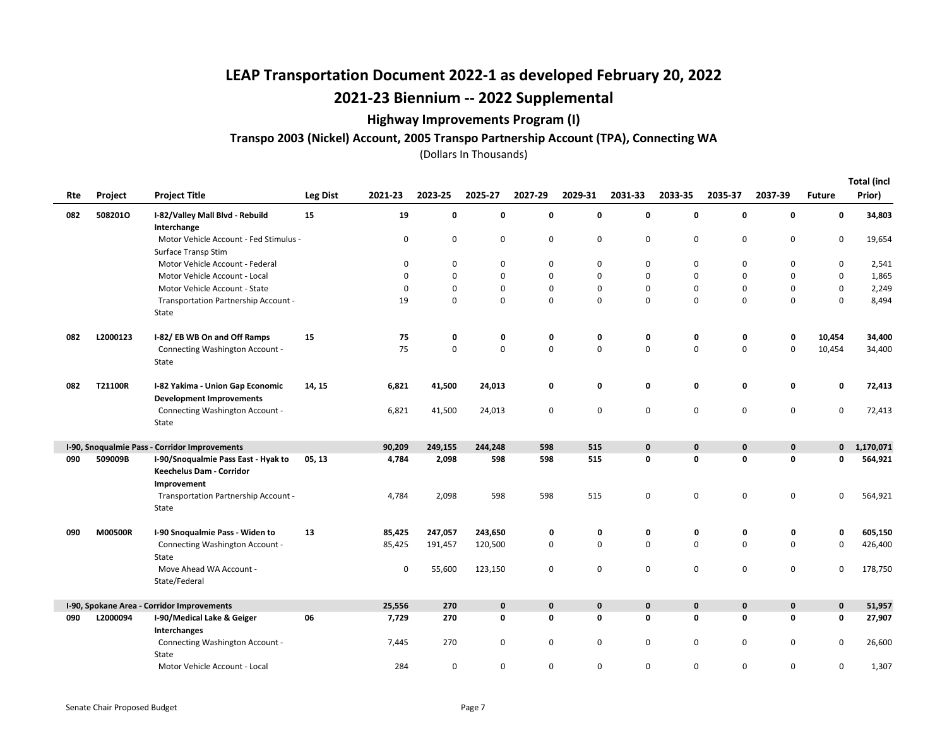### Highway Improvements Program (I)

#### Transpo 2003 (Nickel) Account, 2005 Transpo Partnership Account (TPA), Connecting WA

(Dollars In Thousands)

Total (incl

|     |          |                                                                                |          |             |             |             |             |             |              |             |             |             |               | Total (incl |
|-----|----------|--------------------------------------------------------------------------------|----------|-------------|-------------|-------------|-------------|-------------|--------------|-------------|-------------|-------------|---------------|-------------|
| Rte | Project  | <b>Project Title</b>                                                           | Leg Dist | 2021-23     | 2023-25     | 2025-27     | 2027-29     | 2029-31     | 2031-33      | 2033-35     | 2035-37     | 2037-39     | <b>Future</b> | Prior)      |
| 082 | 5082010  | I-82/Valley Mall Blvd - Rebuild<br>Interchange                                 | 15       | 19          | 0           | 0           | 0           | 0           | 0            | 0           | 0           | $\mathbf 0$ | 0             | 34,803      |
|     |          | Motor Vehicle Account - Fed Stimulus -<br>Surface Transp Stim                  |          | 0           | 0           | 0           | 0           | 0           | 0            | $\mathbf 0$ | $\mathbf 0$ | 0           | 0             | 19,654      |
|     |          | Motor Vehicle Account - Federal                                                |          | 0           | 0           | 0           | 0           | $\mathbf 0$ | $\Omega$     | 0           | 0           | 0           | 0             | 2,541       |
|     |          | Motor Vehicle Account - Local                                                  |          | $\mathbf 0$ | $\mathbf 0$ | 0           | 0           | $\mathbf 0$ | $\Omega$     | $\Omega$    | $\mathbf 0$ | $\mathbf 0$ | 0             | 1,865       |
|     |          | Motor Vehicle Account - State                                                  |          | 0           | 0           | 0           | 0           | 0           | 0            | $\mathbf 0$ | 0           | 0           | 0             | 2,249       |
|     |          | Transportation Partnership Account -                                           |          | 19          | $\mathbf 0$ | 0           | 0           | 0           | $\Omega$     | $\Omega$    | $\mathbf 0$ | $\mathsf 0$ | 0             | 8,494       |
|     |          | State                                                                          |          |             |             |             |             |             |              |             |             |             |               |             |
| 082 | L2000123 | I-82/EB WB On and Off Ramps                                                    | 15       | 75          | 0           | 0           | 0           | 0           | 0            | 0           | 0           | 0           | 10,454        | 34,400      |
|     |          | Connecting Washington Account -<br>State                                       |          | 75          | $\mathbf 0$ | 0           | 0           | 0           | 0            | $\mathbf 0$ | $\mathsf 0$ | $\pmb{0}$   | 10,454        | 34,400      |
| 082 | T21100R  | I-82 Yakima - Union Gap Economic<br><b>Development Improvements</b>            | 14, 15   | 6,821       | 41,500      | 24,013      | 0           | 0           | 0            | 0           | 0           | 0           | 0             | 72,413      |
|     |          | Connecting Washington Account -<br>State                                       |          | 6,821       | 41,500      | 24,013      | 0           | 0           | $\mathbf 0$  | $\mathbf 0$ | $\mathbf 0$ | 0           | 0             | 72,413      |
|     |          | I-90, Snoqualmie Pass - Corridor Improvements                                  |          | 90,209      | 249,155     | 244,248     | 598         | 515         | $\mathbf{0}$ | $\mathbf 0$ | $\pmb{0}$   | $\pmb{0}$   | $\mathbf{0}$  | 1,170,071   |
| 090 | 509009B  | I-90/Snoqualmie Pass East - Hyak to<br>Keechelus Dam - Corridor<br>Improvement | 05, 13   | 4,784       | 2,098       | 598         | 598         | 515         | 0            | 0           | 0           | 0           | O             | 564,921     |
|     |          | Transportation Partnership Account -<br>State                                  |          | 4,784       | 2,098       | 598         | 598         | 515         | 0            | $\pmb{0}$   | $\mathsf 0$ | $\pmb{0}$   | 0             | 564,921     |
| 090 | M00500R  | I-90 Snoqualmie Pass - Widen to                                                | 13       | 85,425      | 247,057     | 243,650     | 0           | 0           | 0            | 0           | 0           | 0           | 0             | 605,150     |
|     |          | Connecting Washington Account -<br>State                                       |          | 85,425      | 191,457     | 120,500     | 0           | 0           | $\Omega$     | $\mathbf 0$ | $\mathbf 0$ | $\mathbf 0$ | 0             | 426,400     |
|     |          | Move Ahead WA Account -<br>State/Federal                                       |          | 0           | 55,600      | 123,150     | 0           | 0           | 0            | $\mathbf 0$ | $\mathbf 0$ | 0           | 0             | 178,750     |
|     |          | I-90, Spokane Area - Corridor Improvements                                     |          | 25,556      | 270         | $\mathbf 0$ | $\mathbf 0$ | $\pmb{0}$   | $\mathbf{0}$ | $\mathbf 0$ | $\pmb{0}$   | $\mathbf 0$ | $\mathbf 0$   | 51,957      |
| 090 | L2000094 | I-90/Medical Lake & Geiger<br>Interchanges                                     | 06       | 7,729       | 270         | 0           | 0           | $\mathbf 0$ | 0            | 0           | $\mathbf 0$ | 0           | 0             | 27,907      |
|     |          | Connecting Washington Account -<br>State                                       |          | 7,445       | 270         | 0           | 0           | 0           | $\mathbf 0$  | 0           | $\mathbf 0$ | 0           | 0             | 26,600      |
|     |          | Motor Vehicle Account - Local                                                  |          | 284         | $\mathbf 0$ | 0           | 0           | $\mathbf 0$ | 0            | $\mathbf 0$ | $\mathbf 0$ | $\mathbf 0$ | 0             | 1,307       |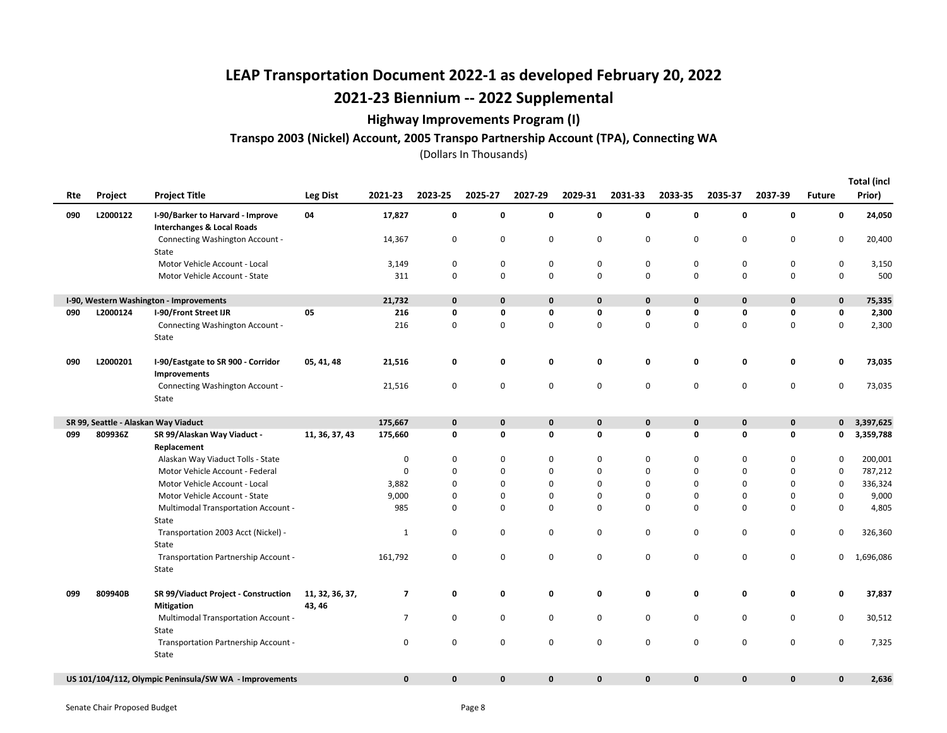### Highway Improvements Program (I)

#### Transpo 2003 (Nickel) Account, 2005 Transpo Partnership Account (TPA), Connecting WA

| Rte | Project  | <b>Project Title</b>                                                      | Leg Dist                  | 2021-23        | 2023-25      | 2025-27 | 2027-29      | 2029-31      | 2031-33      | 2033-35      | 2035-37     | 2037-39      | <b>Future</b> | <b>Total (incl</b><br>Prior) |
|-----|----------|---------------------------------------------------------------------------|---------------------------|----------------|--------------|---------|--------------|--------------|--------------|--------------|-------------|--------------|---------------|------------------------------|
| 090 | L2000122 | I-90/Barker to Harvard - Improve<br><b>Interchanges &amp; Local Roads</b> | 04                        | 17,827         | 0            | 0       | 0            | 0            | 0            | 0            | 0           | 0            | 0             | 24,050                       |
|     |          | Connecting Washington Account -<br>State                                  |                           | 14,367         | 0            | 0       | 0            | 0            | 0            | 0            | $\pmb{0}$   | $\mathbf 0$  | 0             | 20,400                       |
|     |          | Motor Vehicle Account - Local                                             |                           | 3,149          | $\mathbf 0$  | 0       | 0            | $\mathbf 0$  | 0            | $\mathbf 0$  | 0           | $\mathbf 0$  | $\mathbf 0$   | 3,150                        |
|     |          | Motor Vehicle Account - State                                             |                           | 311            | 0            | 0       | 0            | 0            | $\mathbf 0$  | $\mathbf 0$  | 0           | $\mathbf 0$  | $\mathbf 0$   | 500                          |
|     |          | I-90, Western Washington - Improvements                                   |                           | 21,732         | $\mathbf 0$  | 0       | $\mathbf 0$  | $\mathbf 0$  | 0            | $\pmb{0}$    | $\mathbf 0$ | $\mathbf 0$  | $\mathbf 0$   | 75,335                       |
| 090 | L2000124 | <b>I-90/Front Street IJR</b>                                              | 05                        | 216            | 0            | 0       | 0            | 0            | 0            | 0            | 0           | 0            | 0             | 2,300                        |
|     |          | Connecting Washington Account -<br>State                                  |                           | 216            | $\mathbf 0$  | 0       | 0            | 0            | 0            | $\mathbf 0$  | $\pmb{0}$   | $\mathbf 0$  | 0             | 2,300                        |
| 090 | L2000201 | I-90/Eastgate to SR 900 - Corridor<br>Improvements                        | 05, 41, 48                | 21,516         | 0            | 0       | 0            | 0            | 0            | 0            | 0           | 0            | 0             | 73,035                       |
|     |          | Connecting Washington Account -<br>State                                  |                           | 21,516         | 0            | 0       | 0            | 0            | 0            | 0            | $\pmb{0}$   | $\mathbf 0$  | 0             | 73,035                       |
|     |          | SR 99, Seattle - Alaskan Way Viaduct                                      |                           | 175,667        | $\mathbf{0}$ | 0       | 0            | $\mathbf 0$  | 0            | $\pmb{0}$    | $\mathbf 0$ | $\mathbf 0$  | $\mathbf{0}$  | 3,397,625                    |
| 099 | 809936Z  | SR 99/Alaskan Way Viaduct -<br>Replacement                                | 11, 36, 37, 43            | 175,660        | 0            | 0       | 0            | 0            | 0            | $\mathbf 0$  | 0           | 0            | 0             | 3,359,788                    |
|     |          | Alaskan Way Viaduct Tolls - State                                         |                           | $\mathbf 0$    | 0            | 0       | 0            | 0            | 0            | $\mathbf 0$  | 0           | $\mathbf 0$  | 0             | 200,001                      |
|     |          | Motor Vehicle Account - Federal                                           |                           | 0              | 0            | 0       | 0            | $\mathbf 0$  | $\Omega$     | $\Omega$     | $\mathbf 0$ | $\mathbf 0$  | 0             | 787,212                      |
|     |          | Motor Vehicle Account - Local                                             |                           | 3,882          | 0            | 0       | 0            | 0            | $\Omega$     | 0            | 0           | $\mathbf 0$  | 0             | 336,324                      |
|     |          | Motor Vehicle Account - State                                             |                           | 9,000          | 0            | 0       | 0            | 0            | 0            | $\mathbf 0$  | 0           | 0            | 0             | 9,000                        |
|     |          | <b>Multimodal Transportation Account -</b><br>State                       |                           | 985            | 0            | 0       | 0            | $\mathbf 0$  | 0            | 0            | $\mathbf 0$ | $\mathbf 0$  | $\mathbf 0$   | 4,805                        |
|     |          | Transportation 2003 Acct (Nickel) -<br>State                              |                           | 1              | 0            | 0       | 0            | $\pmb{0}$    | 0            | $\mathbf 0$  | $\pmb{0}$   | $\mathsf 0$  | 0             | 326,360                      |
|     |          | Transportation Partnership Account -<br>State                             |                           | 161,792        | 0            | 0       | 0            | 0            | 0            | 0            | $\pmb{0}$   | 0            | 0             | 1,696,086                    |
| 099 | 809940B  | SR 99/Viaduct Project - Construction<br><b>Mitigation</b>                 | 11, 32, 36, 37,<br>43, 46 | $\overline{7}$ | $\mathbf 0$  | 0       | 0            | 0            | 0            | 0            | 0           | 0            | 0             | 37,837                       |
|     |          | <b>Multimodal Transportation Account -</b><br>State                       |                           | $\overline{7}$ | 0            | 0       | 0            | 0            | 0            | 0            | 0           | 0            | 0             | 30,512                       |
|     |          | Transportation Partnership Account -<br>State                             |                           | 0              | 0            | 0       | 0            | 0            | 0            | 0            | 0           | 0            | 0             | 7,325                        |
|     |          | US 101/104/112, Olympic Peninsula/SW WA - Improvements                    |                           | $\mathbf 0$    | $\mathbf 0$  | 0       | $\mathbf{0}$ | $\mathbf{0}$ | $\mathbf{0}$ | $\mathbf{0}$ | $\mathbf 0$ | $\mathbf{0}$ | $\mathbf{0}$  | 2,636                        |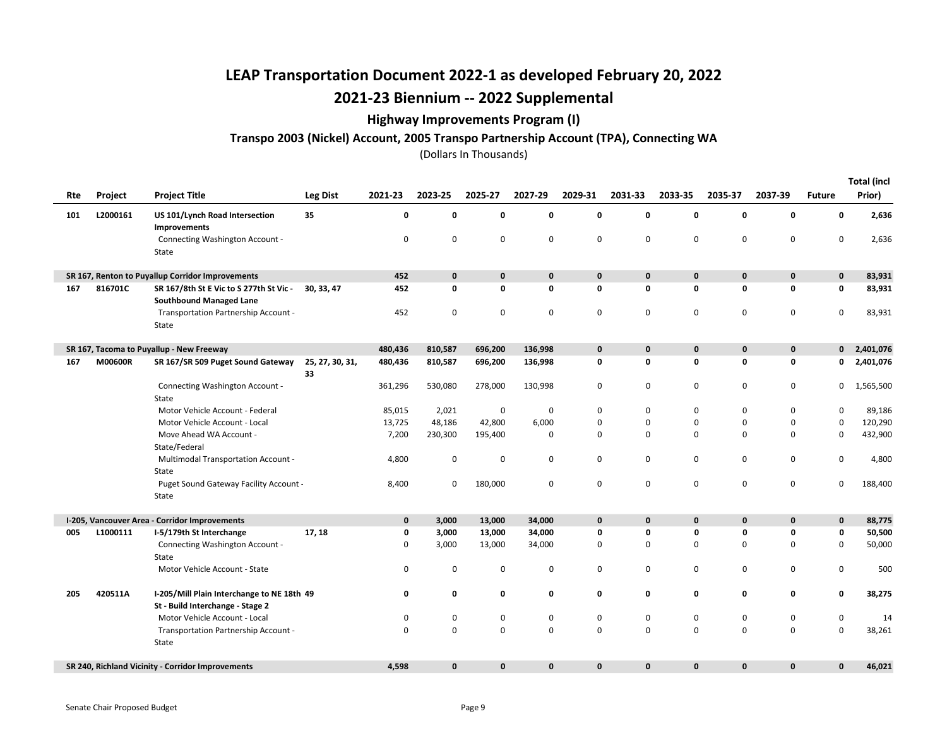### Highway Improvements Program (I)

#### Transpo 2003 (Nickel) Account, 2005 Transpo Partnership Account (TPA), Connecting WA

| Rte | Project  | <b>Project Title</b>                              | Leg Dist              | 2021-23      | 2023-25      | 2025-27      | 2027-29     | 2029-31     | 2031-33      | 2033-35      | 2035-37     | 2037-39      | <b>Future</b> | <b>Total (incl</b><br>Prior) |
|-----|----------|---------------------------------------------------|-----------------------|--------------|--------------|--------------|-------------|-------------|--------------|--------------|-------------|--------------|---------------|------------------------------|
| 101 | L2000161 | US 101/Lynch Road Intersection                    | 35                    | 0            | $\mathbf 0$  | $\mathbf 0$  | $\mathbf 0$ | 0           | 0            | 0            | $\mathbf 0$ | $\mathbf 0$  | 0             | 2,636                        |
|     |          | Improvements                                      |                       |              |              |              |             |             |              |              |             |              |               |                              |
|     |          | Connecting Washington Account -<br>State          |                       | 0            | 0            | $\mathbf 0$  | $\mathbf 0$ | 0           | $\mathbf 0$  | 0            | $\mathbf 0$ | $\mathbf 0$  | 0             | 2,636                        |
|     |          | SR 167, Renton to Puyallup Corridor Improvements  |                       | 452          | $\mathbf 0$  | $\mathbf 0$  | $\pmb{0}$   | $\mathbf 0$ | 0            | $\mathbf 0$  | $\mathbf 0$ | $\mathbf 0$  | 0             | 83,931                       |
| 167 | 816701C  | SR 167/8th St E Vic to S 277th St Vic -           | 30, 33, 47            | 452          | 0            | 0            | 0           | 0           | 0            | 0            | 0           | 0            | 0             | 83,931                       |
|     |          | <b>Southbound Managed Lane</b>                    |                       |              |              |              |             |             |              |              |             |              |               |                              |
|     |          | Transportation Partnership Account -<br>State     |                       | 452          | $\mathbf 0$  | 0            | 0           | $\mathbf 0$ | 0            | 0            | $\mathbf 0$ | $\mathbf 0$  | 0             | 83,931                       |
|     |          | SR 167, Tacoma to Puyallup - New Freeway          |                       | 480,436      | 810,587      | 696,200      | 136,998     | $\mathbf 0$ | $\mathbf{0}$ | $\mathbf{0}$ | $\mathbf 0$ | $\bf{0}$     | $\mathbf{0}$  | 2,401,076                    |
| 167 | M00600R  | SR 167/SR 509 Puget Sound Gateway                 | 25, 27, 30, 31,<br>33 | 480,436      | 810,587      | 696,200      | 136,998     | $\mathbf 0$ | 0            | 0            | $\mathbf 0$ | $\mathbf 0$  | 0             | 2,401,076                    |
|     |          | Connecting Washington Account -<br>State          |                       | 361,296      | 530,080      | 278,000      | 130,998     | 0           | 0            | 0            | 0           | 0            | 0             | 1,565,500                    |
|     |          | Motor Vehicle Account - Federal                   |                       | 85,015       | 2,021        | 0            | 0           | 0           | 0            | 0            | 0           | 0            | 0             | 89,186                       |
|     |          | Motor Vehicle Account - Local                     |                       | 13,725       | 48,186       | 42,800       | 6,000       | 0           | $\mathbf 0$  | 0            | 0           | $\mathbf 0$  | 0             | 120,290                      |
|     |          | Move Ahead WA Account -                           |                       | 7,200        | 230,300      | 195,400      | 0           | 0           | $\mathbf 0$  | $\mathbf 0$  | $\mathbf 0$ | 0            | 0             | 432,900                      |
|     |          | State/Federal                                     |                       |              |              |              |             |             |              |              |             |              |               |                              |
|     |          | Multimodal Transportation Account -<br>State      |                       | 4,800        | 0            | $\mathbf 0$  | 0           | 0           | 0            | 0            | $\mathbf 0$ | 0            | 0             | 4,800                        |
|     |          | Puget Sound Gateway Facility Account -            |                       | 8,400        | $\mathbf 0$  | 180,000      | 0           | $\mathbf 0$ | 0            | $\mathbf 0$  | $\mathbf 0$ | $\mathbf 0$  | 0             | 188,400                      |
|     |          | State                                             |                       |              |              |              |             |             |              |              |             |              |               |                              |
|     |          | I-205, Vancouver Area - Corridor Improvements     |                       | $\mathbf{0}$ | 3,000        | 13,000       | 34,000      | $\mathbf 0$ | $\mathbf{0}$ | $\mathbf{0}$ | $\mathbf 0$ | $\mathbf 0$  | $\mathbf 0$   | 88,775                       |
| 005 | L1000111 | I-5/179th St Interchange                          | 17, 18                | 0            | 3,000        | 13,000       | 34,000      | 0           | 0            | 0            | 0           | 0            | $\mathbf 0$   | 50,500                       |
|     |          | Connecting Washington Account -                   |                       | 0            | 3,000        | 13,000       | 34,000      | 0           | 0            | 0            | 0           | 0            | 0             | 50,000                       |
|     |          | State                                             |                       |              |              |              |             |             |              |              |             |              |               |                              |
|     |          | Motor Vehicle Account - State                     |                       | 0            | $\mathbf 0$  | 0            | $\mathbf 0$ | 0           | $\mathbf 0$  | 0            | 0           | $\mathbf 0$  | 0             | 500                          |
| 205 | 420511A  | I-205/Mill Plain Interchange to NE 18th 49        |                       | 0            | 0            | 0            | 0           | 0           | 0            | 0            | 0           | $\mathbf 0$  | 0             | 38,275                       |
|     |          | St - Build Interchange - Stage 2                  |                       |              |              |              |             |             |              |              |             |              |               |                              |
|     |          | Motor Vehicle Account - Local                     |                       | 0            | 0            | 0            | 0           | 0           | 0            | 0            | 0           | 0            | 0             | 14                           |
|     |          | Transportation Partnership Account -              |                       | 0            | 0            | $\mathbf 0$  | $\mathsf 0$ | 0           | $\mathbf 0$  | 0            | $\mathbf 0$ | $\mathbf 0$  | $\mathbf 0$   | 38,261                       |
|     |          | State                                             |                       |              |              |              |             |             |              |              |             |              |               |                              |
|     |          | SR 240, Richland Vicinity - Corridor Improvements |                       | 4,598        | $\mathbf{0}$ | $\mathbf{0}$ | $\mathbf 0$ | 0           | $\mathbf{0}$ | $\mathbf{0}$ | $\mathbf 0$ | $\mathbf{0}$ | 0             | 46,021                       |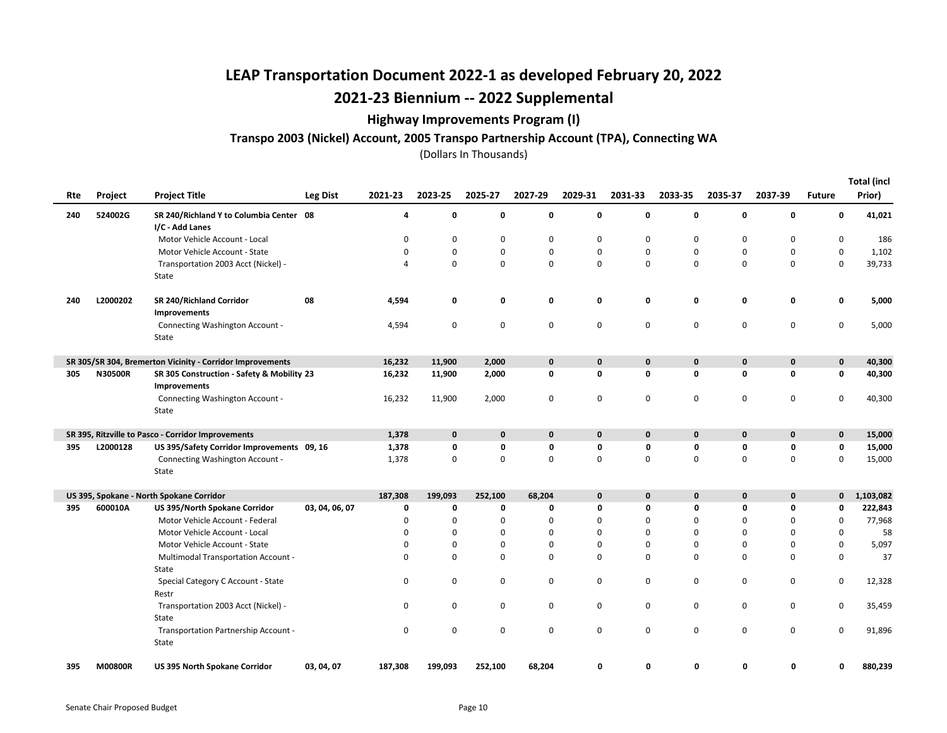### Highway Improvements Program (I)

### Transpo 2003 (Nickel) Account, 2005 Transpo Partnership Account (TPA), Connecting WA

(Dollars In Thousands)

Total (incl

| Rte | Project        | <b>Project Title</b>                                      | Leg Dist       | 2021-23  | 2023-25     | 2025-27     | 2027-29     | 2029-31     | 2031-33     | 2033-35     | 2035-37     | 2037-39     | <b>Future</b> | <b>Total (incl</b><br>Prior) |
|-----|----------------|-----------------------------------------------------------|----------------|----------|-------------|-------------|-------------|-------------|-------------|-------------|-------------|-------------|---------------|------------------------------|
| 240 | 524002G        | SR 240/Richland Y to Columbia Center 08                   |                | 4        | 0           | 0           | 0           | $\mathbf 0$ | 0           | 0           | 0           | 0           | 0             | 41,021                       |
|     |                | I/C - Add Lanes                                           |                |          |             |             |             |             |             |             |             |             |               |                              |
|     |                | Motor Vehicle Account - Local                             |                | 0        | 0           | 0           | 0           | 0           | 0           | 0           | 0           | 0           | 0             | 186                          |
|     |                | Motor Vehicle Account - State                             |                | 0        | 0           | 0           | 0           | 0           | $\mathbf 0$ | $\mathbf 0$ | 0           | 0           | $\pmb{0}$     | 1,102                        |
|     |                | Transportation 2003 Acct (Nickel) -<br>State              |                | 4        | 0           | 0           | 0           | $\pmb{0}$   | $\mathbf 0$ | $\mathbf 0$ | 0           | 0           | $\pmb{0}$     | 39,733                       |
| 240 | L2000202       | SR 240/Richland Corridor<br>Improvements                  | 08             | 4,594    | 0           | 0           | 0           | 0           | 0           | 0           | 0           | 0           | 0             | 5,000                        |
|     |                | Connecting Washington Account -<br>State                  |                | 4,594    | 0           | 0           | 0           | $\mathbf 0$ | 0           | 0           | 0           | 0           | 0             | 5,000                        |
|     |                | SR 305/SR 304, Bremerton Vicinity - Corridor Improvements |                | 16,232   | 11,900      | 2,000       | 0           | $\mathbf 0$ | $\mathbf 0$ | $\mathbf 0$ | $\mathbf 0$ | $\mathbf 0$ | $\pmb{0}$     | 40,300                       |
| 305 | <b>N30500R</b> | SR 305 Construction - Safety & Mobility 23                |                | 16,232   | 11,900      | 2,000       | 0           | 0           | 0           | 0           | 0           | 0           | 0             | 40,300                       |
|     |                | Improvements                                              |                |          |             |             |             |             |             |             |             |             |               |                              |
|     |                | Connecting Washington Account -                           |                | 16,232   | 11,900      | 2,000       | 0           | $\mathbf 0$ | 0           | $\Omega$    | 0           | 0           | 0             | 40,300                       |
|     |                | State                                                     |                |          |             |             |             |             |             |             |             |             |               |                              |
|     |                | SR 395, Ritzville to Pasco - Corridor Improvements        |                | 1,378    | $\mathbf 0$ | $\mathbf 0$ | $\mathbf 0$ | $\mathbf 0$ | $\mathbf 0$ | $\mathbf 0$ | $\mathbf 0$ | $\mathbf 0$ | $\pmb{0}$     | 15,000                       |
| 395 | L2000128       | US 395/Safety Corridor Improvements 09, 16                |                | 1,378    | 0           | 0           | 0           | 0           | 0           | 0           | 0           | 0           | 0             | 15,000                       |
|     |                | Connecting Washington Account -                           |                | 1,378    | 0           | 0           | $\mathbf 0$ | $\mathbf 0$ | $\mathbf 0$ | 0           | 0           | 0           | $\pmb{0}$     | 15,000                       |
|     |                | State                                                     |                |          |             |             |             |             |             |             |             |             |               |                              |
|     |                | US 395, Spokane - North Spokane Corridor                  |                | 187,308  | 199,093     | 252,100     | 68,204      | $\mathbf 0$ | 0           | 0           | 0           | 0           | $\mathbf{0}$  | 1,103,082                    |
| 395 | 600010A        | US 395/North Spokane Corridor                             | 03, 04, 06, 07 | 0        | 0           | 0           | $\mathbf 0$ | 0           | 0           | 0           | 0           | 0           | 0             | 222,843                      |
|     |                | Motor Vehicle Account - Federal                           |                | 0        | 0           | 0           | $\Omega$    | $\mathbf 0$ | $\Omega$    | $\Omega$    | 0           | 0           | 0             | 77,968                       |
|     |                | Motor Vehicle Account - Local                             |                | $\Omega$ | 0           | $\mathbf 0$ | $\Omega$    | $\Omega$    | $\Omega$    | $\Omega$    | 0           | 0           | 0             | 58                           |
|     |                | Motor Vehicle Account - State                             |                | 0        | 0           | 0           | 0           | 0           | 0           | 0           | 0           | 0           | 0             | 5,097                        |
|     |                | Multimodal Transportation Account -                       |                | $\Omega$ | $\Omega$    | $\mathbf 0$ | 0           | $\Omega$    | $\Omega$    | 0           | $\Omega$    | $\Omega$    | 0             | 37                           |
|     |                | State                                                     |                |          |             |             |             |             |             |             |             |             |               |                              |
|     |                | Special Category C Account - State<br>Restr               |                | 0        | 0           | 0           | 0           | 0           | 0           | 0           | 0           | 0           | 0             | 12,328                       |
|     |                | Transportation 2003 Acct (Nickel) -                       |                | 0        | 0           | 0           | 0           | 0           | 0           | 0           | 0           | 0           | 0             | 35,459                       |
|     |                | State                                                     |                |          |             |             |             |             |             |             |             |             |               |                              |
|     |                | Transportation Partnership Account -                      |                | 0        | 0           | $\mathbf 0$ | $\mathbf 0$ | $\mathbf 0$ | 0           | 0           | 0           | 0           | 0             | 91,896                       |
|     |                | State                                                     |                |          |             |             |             |             |             |             |             |             |               |                              |
| 395 | <b>M00800R</b> | <b>US 395 North Spokane Corridor</b>                      | 03, 04, 07     | 187,308  | 199,093     | 252,100     | 68,204      | 0           | 0           | 0           | 0           | 0           | 0             | 880,239                      |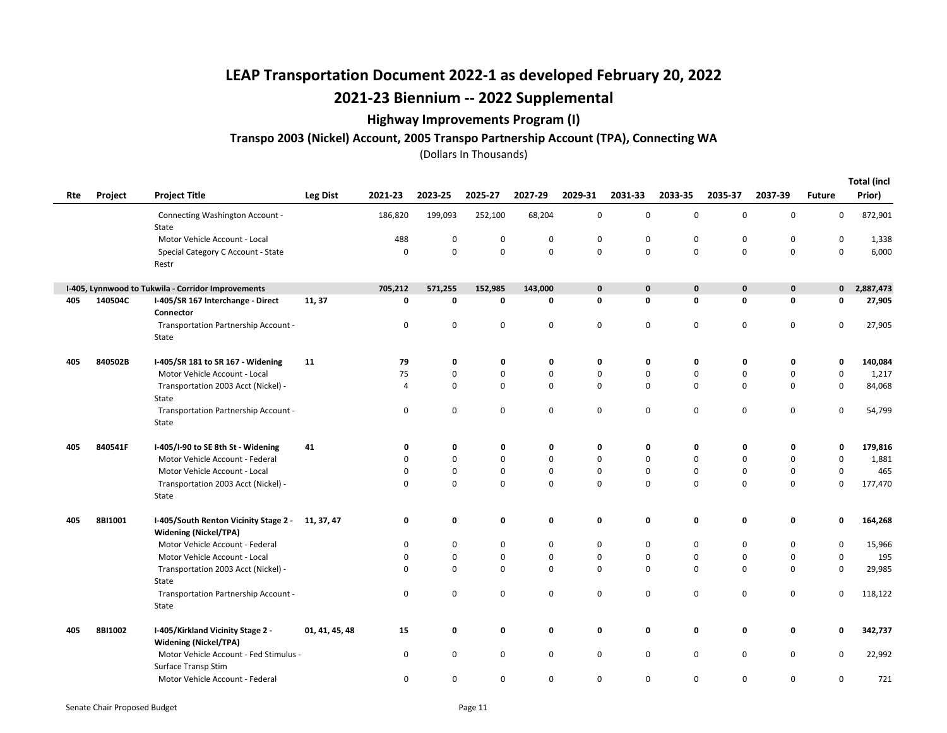### Highway Improvements Program (I)

#### Transpo 2003 (Nickel) Account, 2005 Transpo Partnership Account (TPA), Connecting WA

|     |         |                                                                                  |                 |         |             |             |             |             |             |             |             |              |               | <b>Total (incl</b> |
|-----|---------|----------------------------------------------------------------------------------|-----------------|---------|-------------|-------------|-------------|-------------|-------------|-------------|-------------|--------------|---------------|--------------------|
| Rte | Project | <b>Project Title</b>                                                             | <b>Leg Dist</b> | 2021-23 | 2023-25     | 2025-27     | 2027-29     | 2029-31     | 2031-33     | 2033-35     | 2035-37     | 2037-39      | <b>Future</b> | Prior)             |
|     |         | Connecting Washington Account -<br>State                                         |                 | 186,820 | 199,093     | 252,100     | 68,204      | 0           | 0           | 0           | 0           | $\mathbf 0$  | 0             | 872,901            |
|     |         | Motor Vehicle Account - Local                                                    |                 | 488     | 0           | 0           | 0           | 0           | 0           | 0           | 0           | 0            | 0             | 1,338              |
|     |         | Special Category C Account - State<br>Restr                                      |                 | 0       | $\mathbf 0$ | $\mathbf 0$ | $\mathsf 0$ | $\mathbf 0$ | $\mathbf 0$ | $\mathbf 0$ | $\mathbf 0$ | $\mathbf 0$  | $\mathsf 0$   | 6,000              |
|     |         | I-405, Lynnwood to Tukwila - Corridor Improvements                               |                 | 705,212 | 571.255     | 152,985     | 143,000     | $\mathbf 0$ | $\mathbf 0$ | 0           | $\pmb{0}$   | $\mathbf{0}$ | $\mathbf{0}$  | 2,887,473          |
| 405 | 140504C | I-405/SR 167 Interchange - Direct<br>Connector                                   | 11, 37          | 0       | 0           | 0           | 0           | 0           | $\mathbf 0$ | 0           | 0           | $\mathbf 0$  | 0             | 27,905             |
|     |         | Transportation Partnership Account -<br>State                                    |                 | 0       | $\mathbf 0$ | 0           | $\mathbf 0$ | $\mathbf 0$ | 0           | 0           | $\mathbf 0$ | $\mathbf 0$  | 0             | 27,905             |
| 405 | 840502B | I-405/SR 181 to SR 167 - Widening                                                | 11              | 79      | 0           | 0           | 0           | 0           | 0           | 0           | 0           | 0            | 0             | 140,084            |
|     |         | Motor Vehicle Account - Local                                                    |                 | 75      | 0           | $\mathbf 0$ | 0           | $\mathbf 0$ | 0           | 0           | 0           | $\mathbf 0$  | 0             | 1,217              |
|     |         | Transportation 2003 Acct (Nickel) -<br>State                                     |                 | 4       | $\mathbf 0$ | $\mathbf 0$ | $\mathbf 0$ | $\mathbf 0$ | $\mathbf 0$ | 0           | 0           | $\mathbf 0$  | $\mathsf 0$   | 84,068             |
|     |         | Transportation Partnership Account -<br>State                                    |                 | 0       | 0           | $\mathbf 0$ | $\mathsf 0$ | $\mathbf 0$ | 0           | 0           | $\mathbf 0$ | $\mathbf 0$  | 0             | 54,799             |
| 405 | 840541F | I-405/I-90 to SE 8th St - Widening                                               | 41              | 0       | 0           | 0           | 0           | 0           | 0           | 0           | 0           | 0            | 0             | 179,816            |
|     |         | Motor Vehicle Account - Federal                                                  |                 | 0       | 0           | 0           | $\mathbf 0$ | 0           | 0           | 0           | 0           | 0            | 0             | 1,881              |
|     |         | Motor Vehicle Account - Local                                                    |                 | 0       | $\mathbf 0$ | 0           | $\mathsf 0$ | 0           | $\mathbf 0$ | 0           | 0           | $\mathbf 0$  | 0             | 465                |
|     |         | Transportation 2003 Acct (Nickel) -<br>State                                     |                 | 0       | $\mathbf 0$ | $\mathbf 0$ | 0           | 0           | $\mathbf 0$ | 0           | 0           | $\mathbf 0$  | $\mathsf 0$   | 177,470            |
| 405 | 8BI1001 | I-405/South Renton Vicinity Stage 2 - 11, 37, 47<br><b>Widening (Nickel/TPA)</b> |                 | 0       | 0           | 0           | 0           | 0           | 0           | 0           | 0           | 0            | 0             | 164,268            |
|     |         | Motor Vehicle Account - Federal                                                  |                 | 0       | $\pmb{0}$   | 0           | 0           | 0           | 0           | 0           | 0           | $\pmb{0}$    | 0             | 15,966             |
|     |         | Motor Vehicle Account - Local                                                    |                 | 0       | 0           | 0           | 0           | 0           | 0           | 0           | 0           | 0            | 0             | 195                |
|     |         | Transportation 2003 Acct (Nickel) -<br>State                                     |                 | 0       | $\mathbf 0$ | $\mathbf 0$ | 0           | 0           | $\mathbf 0$ | 0           | 0           | $\mathbf 0$  | $\mathsf 0$   | 29,985             |
|     |         | Transportation Partnership Account -<br>State                                    |                 | 0       | $\mathbf 0$ | $\mathbf 0$ | $\mathsf 0$ | 0           | 0           | 0           | $\mathbf 0$ | $\mathbf 0$  | 0             | 118,122            |
| 405 | 8BI1002 | I-405/Kirkland Vicinity Stage 2 -<br><b>Widening (Nickel/TPA)</b>                | 01, 41, 45, 48  | 15      | 0           | 0           | 0           | 0           | 0           | 0           | 0           | 0            | 0             | 342,737            |
|     |         | Motor Vehicle Account - Fed Stimulus -<br>Surface Transp Stim                    |                 | 0       | 0           | 0           | 0           | $\mathbf 0$ | 0           | 0           | $\mathbf 0$ | $\mathbf 0$  | 0             | 22,992             |
|     |         | Motor Vehicle Account - Federal                                                  |                 | 0       | 0           | 0           | 0           | 0           | 0           | 0           | 0           | 0            | 0             | 721                |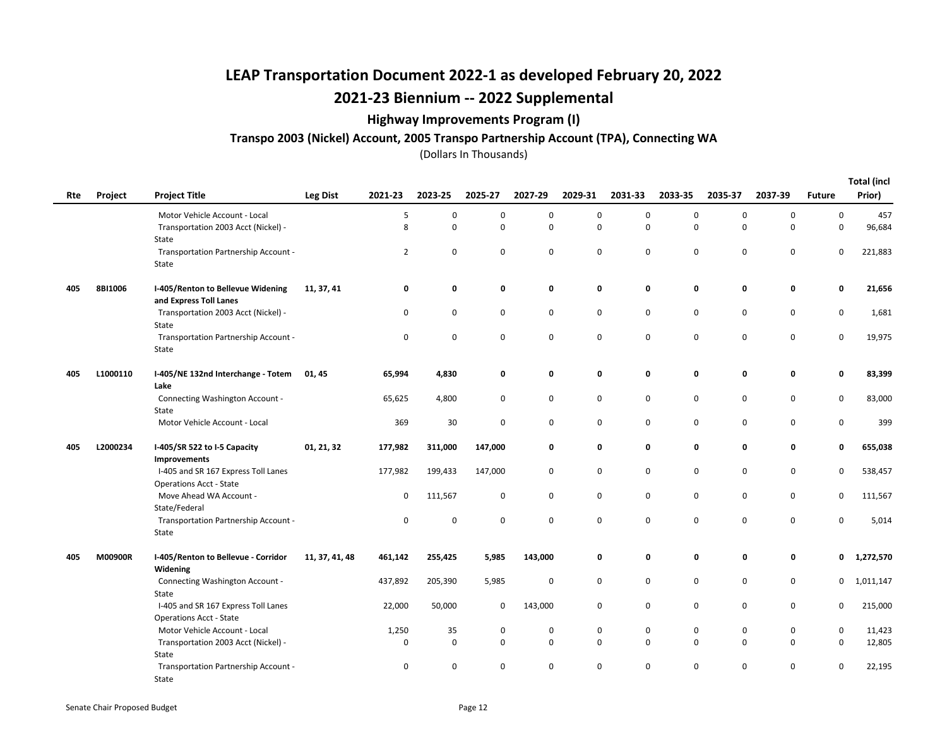### Highway Improvements Program (I)

#### Transpo 2003 (Nickel) Account, 2005 Transpo Partnership Account (TPA), Connecting WA

Total (incl

| Rte | Project  | <b>Project Title</b>                                                 | <b>Leg Dist</b> | 2021-23        | 2023-25           | 2025-27                    | 2027-29                    | 2029-31             | 2031-33 | 2033-35          | 2035-37     | 2037-39                    | <b>Future</b>    | Total (incl<br>Prior) |
|-----|----------|----------------------------------------------------------------------|-----------------|----------------|-------------------|----------------------------|----------------------------|---------------------|---------|------------------|-------------|----------------------------|------------------|-----------------------|
|     |          | Motor Vehicle Account - Local                                        |                 | 5              | 0                 | $\mathbf 0$                | $\pmb{0}$                  | $\mathsf{O}\xspace$ | 0       | 0                | 0           | $\mathbf 0$                | 0                | 457                   |
|     |          | Transportation 2003 Acct (Nickel) -                                  |                 | 8              | $\mathbf 0$       | $\mathbf 0$                | $\mathsf 0$                | $\mathbf 0$         | 0       | $\mathbf 0$      | $\mathbf 0$ | $\mathbf 0$                | $\mathsf 0$      | 96,684                |
|     |          | State                                                                |                 |                |                   |                            |                            |                     |         |                  |             |                            |                  |                       |
|     |          | Transportation Partnership Account -                                 |                 | $\overline{2}$ | $\pmb{0}$         | $\mathbf 0$                | $\mathsf 0$                | $\mathsf 0$         | 0       | $\mathbf 0$      | 0           | $\mathbf 0$                | 0                | 221,883               |
|     |          | State                                                                |                 |                |                   |                            |                            |                     |         |                  |             |                            |                  |                       |
| 405 | 8BI1006  | I-405/Renton to Bellevue Widening<br>and Express Toll Lanes          | 11, 37, 41      | 0              | 0                 | 0                          | 0                          | 0                   | 0       | 0                | 0           | 0                          | 0                | 21,656                |
|     |          | Transportation 2003 Acct (Nickel) -                                  |                 | 0              | 0                 | 0                          | 0                          | 0                   | 0       | 0                | 0           | 0                          | $\mathbf 0$      | 1,681                 |
|     |          | State                                                                |                 |                |                   |                            |                            |                     |         |                  |             |                            |                  |                       |
|     |          | Transportation Partnership Account -                                 |                 | 0              | $\mathbf 0$       | $\mathbf 0$                | $\mathbf 0$                | $\mathbf 0$         | 0       | 0                | $\mathbf 0$ | $\mathbf 0$                | $\mathsf 0$      | 19,975                |
|     |          | State                                                                |                 |                |                   |                            |                            |                     |         |                  |             |                            |                  |                       |
| 405 | L1000110 | I-405/NE 132nd Interchange - Totem                                   | 01, 45          | 65,994         | 4,830             | 0                          | 0                          | 0                   | 0       | 0                | 0           | 0                          | 0                | 83,399                |
|     |          | Lake                                                                 |                 |                |                   |                            |                            |                     |         |                  |             |                            |                  |                       |
|     |          | Connecting Washington Account -                                      |                 | 65,625         | 4,800             | 0                          | $\mathsf 0$                | $\mathsf 0$         | 0       | $\mathbf 0$      | $\pmb{0}$   | $\mathbf 0$                | 0                | 83,000                |
|     |          | State                                                                |                 |                |                   |                            |                            |                     |         |                  |             |                            |                  |                       |
|     |          | Motor Vehicle Account - Local                                        |                 | 369            | 30                | 0                          | 0                          | 0                   | 0       | 0                | 0           | $\mathbf 0$                | 0                | 399                   |
| 405 | L2000234 | I-405/SR 522 to I-5 Capacity                                         | 01, 21, 32      | 177,982        | 311,000           | 147,000                    | 0                          | 0                   | 0       | 0                | 0           | 0                          | 0                | 655,038               |
|     |          | Improvements                                                         |                 |                |                   |                            |                            |                     |         |                  |             |                            |                  |                       |
|     |          | I-405 and SR 167 Express Toll Lanes                                  |                 | 177,982        | 199,433           | 147,000                    | 0                          | 0                   | 0       | $\mathbf 0$      | 0           | $\mathbf 0$                | 0                | 538,457               |
|     |          | <b>Operations Acct - State</b><br>Move Ahead WA Account -            |                 | 0              | 111,567           | $\mathbf 0$                | $\mathsf{O}$               | $\mathsf 0$         | 0       | 0                | $\mathbf 0$ | $\mathbf 0$                | 0                | 111,567               |
|     |          | State/Federal                                                        |                 |                |                   |                            |                            |                     |         |                  |             |                            |                  |                       |
|     |          | Transportation Partnership Account -                                 |                 | 0              | 0                 | 0                          | 0                          | 0                   | 0       | 0                | 0           | 0                          | 0                | 5,014                 |
|     |          | State                                                                |                 |                |                   |                            |                            |                     |         |                  |             |                            |                  |                       |
| 405 | M00900R  | I-405/Renton to Bellevue - Corridor                                  | 11, 37, 41, 48  | 461,142        | 255,425           | 5,985                      | 143,000                    | 0                   | 0       | 0                | 0           | 0                          | 0                | 1,272,570             |
|     |          | Widening                                                             |                 |                |                   |                            |                            |                     |         |                  |             |                            |                  |                       |
|     |          | Connecting Washington Account -                                      |                 | 437,892        | 205,390           | 5,985                      | $\mathbf 0$                | 0                   | 0       | $\mathbf 0$      | 0           | $\mathbf 0$                | $\mathbf{0}$     | 1,011,147             |
|     |          | State                                                                |                 |                |                   |                            |                            |                     |         |                  |             |                            |                  |                       |
|     |          | I-405 and SR 167 Express Toll Lanes                                  |                 | 22,000         | 50,000            | 0                          | 143,000                    | 0                   | 0       | 0                | 0           | 0                          | 0                | 215,000               |
|     |          | <b>Operations Acct - State</b>                                       |                 |                |                   |                            |                            |                     |         |                  |             |                            |                  |                       |
|     |          | Motor Vehicle Account - Local<br>Transportation 2003 Acct (Nickel) - |                 | 1,250<br>0     | 35<br>$\mathbf 0$ | $\mathbf 0$<br>$\mathbf 0$ | $\mathbf 0$<br>$\mathsf 0$ | 0<br>$\mathbf 0$    | 0<br>0  | 0<br>$\mathbf 0$ | 0<br>0      | $\mathbf 0$<br>$\mathbf 0$ | 0<br>$\mathsf 0$ | 11,423<br>12,805      |
|     |          | State                                                                |                 |                |                   |                            |                            |                     |         |                  |             |                            |                  |                       |
|     |          | Transportation Partnership Account -                                 |                 | 0              | 0                 | 0                          | 0                          | 0                   | 0       | 0                | 0           | 0                          | 0                | 22,195                |
|     |          | State                                                                |                 |                |                   |                            |                            |                     |         |                  |             |                            |                  |                       |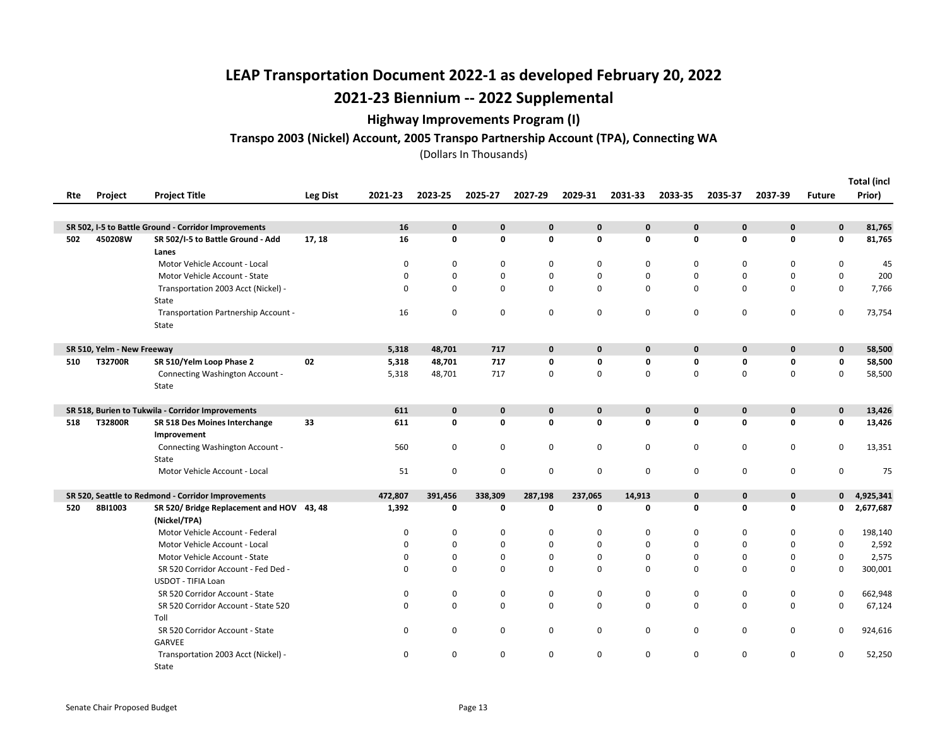### Highway Improvements Program (I)

### Transpo 2003 (Nickel) Account, 2005 Transpo Partnership Account (TPA), Connecting WA

|     |                            |                                                      |                 |          |              |             |             |             |              |              |              |                            |               | <b>Total (incl</b> |
|-----|----------------------------|------------------------------------------------------|-----------------|----------|--------------|-------------|-------------|-------------|--------------|--------------|--------------|----------------------------|---------------|--------------------|
| Rte | Project                    | <b>Project Title</b>                                 | <b>Leg Dist</b> | 2021-23  | 2023-25      | 2025-27     | 2027-29     | 2029-31     | 2031-33      | 2033-35      | 2035-37      | 2037-39                    | <b>Future</b> | Prior)             |
|     |                            |                                                      |                 |          |              |             |             |             |              |              |              |                            |               |                    |
|     |                            | SR 502, I-5 to Battle Ground - Corridor Improvements |                 | 16       | $\mathbf{0}$ | $\mathbf 0$ | $\pmb{0}$   | $\mathbf 0$ | $\mathbf{0}$ | $\mathbf{0}$ | $\mathbf{0}$ | $\mathbf 0$                | $\mathbf 0$   | 81,765             |
| 502 | 450208W                    | SR 502/I-5 to Battle Ground - Add                    | 17, 18          | 16       | $\mathbf 0$  | $\mathbf 0$ | 0           | $\mathbf 0$ | 0            | $\mathbf 0$  | 0            | 0                          | 0             | 81,765             |
|     |                            | Lanes                                                |                 |          |              |             |             |             |              |              |              |                            |               |                    |
|     |                            | Motor Vehicle Account - Local                        |                 | 0        | 0            | 0           | 0           | 0           | 0            | 0            |              | 0<br>0                     | 0             | 45                 |
|     |                            | Motor Vehicle Account - State                        |                 | 0        | $\Omega$     | $\mathbf 0$ | 0           | 0           | 0            | $\mathbf 0$  |              | $\mathbf 0$<br>0           | 0             | 200                |
|     |                            | Transportation 2003 Acct (Nickel) -                  |                 | $\Omega$ | $\mathbf 0$  | $\mathbf 0$ | $\mathbf 0$ | 0           | 0            | $\mathbf 0$  |              | 0<br>$\mathbf 0$           | 0             | 7,766              |
|     |                            | State                                                |                 |          |              |             |             |             |              |              |              |                            |               |                    |
|     |                            | Transportation Partnership Account -                 |                 | 16       | 0            | 0           | 0           | 0           | 0            | $\mathbf 0$  | 0            | 0                          | 0             | 73,754             |
|     |                            | State                                                |                 |          |              |             |             |             |              |              |              |                            |               |                    |
|     |                            |                                                      |                 |          |              |             |             |             |              |              |              |                            |               |                    |
|     | SR 510, Yelm - New Freeway |                                                      |                 | 5,318    | 48,701       | 717         | $\mathbf 0$ | $\mathbf 0$ | $\mathbf{0}$ | $\mathbf 0$  | $\mathbf{0}$ | $\mathbf{0}$               | $\mathbf 0$   | 58,500             |
| 510 | T32700R                    | SR 510/Yelm Loop Phase 2                             | 02              | 5,318    | 48,701       | 717         | 0           | 0           | 0            | $\mathbf 0$  | 0            | 0                          | $\mathbf 0$   | 58,500             |
|     |                            | Connecting Washington Account -                      |                 | 5,318    | 48,701       | 717         | $\mathbf 0$ | 0           | 0            | $\mathbf 0$  | 0            | $\mathbf 0$                | 0             | 58,500             |
|     |                            | State                                                |                 |          |              |             |             |             |              |              |              |                            |               |                    |
|     |                            |                                                      |                 |          |              |             |             |             |              |              |              |                            |               |                    |
|     |                            | SR 518, Burien to Tukwila - Corridor Improvements    |                 | 611      | $\mathbf 0$  | $\mathbf 0$ | $\mathbf 0$ | $\mathbf 0$ | $\mathbf{0}$ | $\mathbf{0}$ | $\mathbf 0$  | $\mathbf 0$                | $\mathbf 0$   | 13,426             |
| 518 | T32800R                    | SR 518 Des Moines Interchange                        | 33              | 611      | $\mathbf 0$  | 0           | 0           | 0           | $\mathbf 0$  | $\mathbf 0$  |              | 0<br>0                     | 0             | 13,426             |
|     |                            | Improvement                                          |                 |          |              |             |             |             |              |              |              |                            |               |                    |
|     |                            | Connecting Washington Account -                      |                 | 560      | 0            | 0           | 0           | 0           | 0            | $\mathbf 0$  | $\mathbf 0$  | 0                          | 0             | 13,351             |
|     |                            | State                                                |                 | 51       | $\mathbf 0$  |             | $\mathsf 0$ | 0           |              |              |              | 0                          | 0             | 75                 |
|     |                            | Motor Vehicle Account - Local                        |                 |          |              | 0           |             |             | 0            | $\mathbf 0$  |              | 0                          |               |                    |
|     |                            | SR 520, Seattle to Redmond - Corridor Improvements   |                 | 472,807  | 391,456      | 338,309     | 287,198     | 237,065     | 14,913       | $\mathbf 0$  |              | $\mathbf 0$<br>0           | 0             | 4,925,341          |
| 520 | 8BI1003                    | SR 520/Bridge Replacement and HOV 43, 48             |                 | 1,392    | 0            | 0           | 0           | 0           | 0            | 0            | 0            | 0                          | 0             | 2,677,687          |
|     |                            | (Nickel/TPA)                                         |                 |          |              |             |             |             |              |              |              |                            |               |                    |
|     |                            | Motor Vehicle Account - Federal                      |                 | 0        | 0            | 0           | 0           | 0           | 0            | $\mathbf 0$  |              | 0<br>0                     | 0             | 198,140            |
|     |                            | Motor Vehicle Account - Local                        |                 | 0        | $\Omega$     | $\mathbf 0$ | 0           | 0           | $\Omega$     | $\mathbf 0$  |              | 0<br>0                     | 0             | 2,592              |
|     |                            | Motor Vehicle Account - State                        |                 | 0        | 0            | $\mathbf 0$ | 0           | 0           | 0            | $\mathbf 0$  |              | 0<br>0                     | 0             | 2,575              |
|     |                            | SR 520 Corridor Account - Fed Ded -                  |                 | $\Omega$ | $\Omega$     | 0           | 0           | 0           | 0            | $\Omega$     |              | 0<br>0                     | $\mathbf 0$   | 300,001            |
|     |                            | <b>USDOT - TIFIA Loan</b>                            |                 |          |              |             |             |             |              |              |              |                            |               |                    |
|     |                            | SR 520 Corridor Account - State                      |                 | 0        | 0            | 0           | 0           | 0           | 0            | 0            |              | 0<br>0                     | 0             | 662,948            |
|     |                            | SR 520 Corridor Account - State 520                  |                 | 0        | $\mathbf 0$  | $\mathsf 0$ | $\mathbf 0$ | 0           | 0            | $\mathbf 0$  | 0            | $\mathbf 0$                | 0             | 67,124             |
|     |                            | Toll                                                 |                 |          |              |             |             |             |              |              |              |                            |               |                    |
|     |                            | SR 520 Corridor Account - State                      |                 | 0        | 0            | 0           | 0           | 0           | 0            | 0            | 0            | 0                          | 0             | 924,616            |
|     |                            | <b>GARVEE</b>                                        |                 |          |              |             |             |             |              |              |              |                            |               |                    |
|     |                            | Transportation 2003 Acct (Nickel) -                  |                 | 0        | $\mathbf 0$  | $\mathbf 0$ | 0           | 0           | 0            | $\mathbf 0$  |              | $\mathbf 0$<br>$\mathbf 0$ | $\mathbf 0$   | 52,250             |
|     |                            | State                                                |                 |          |              |             |             |             |              |              |              |                            |               |                    |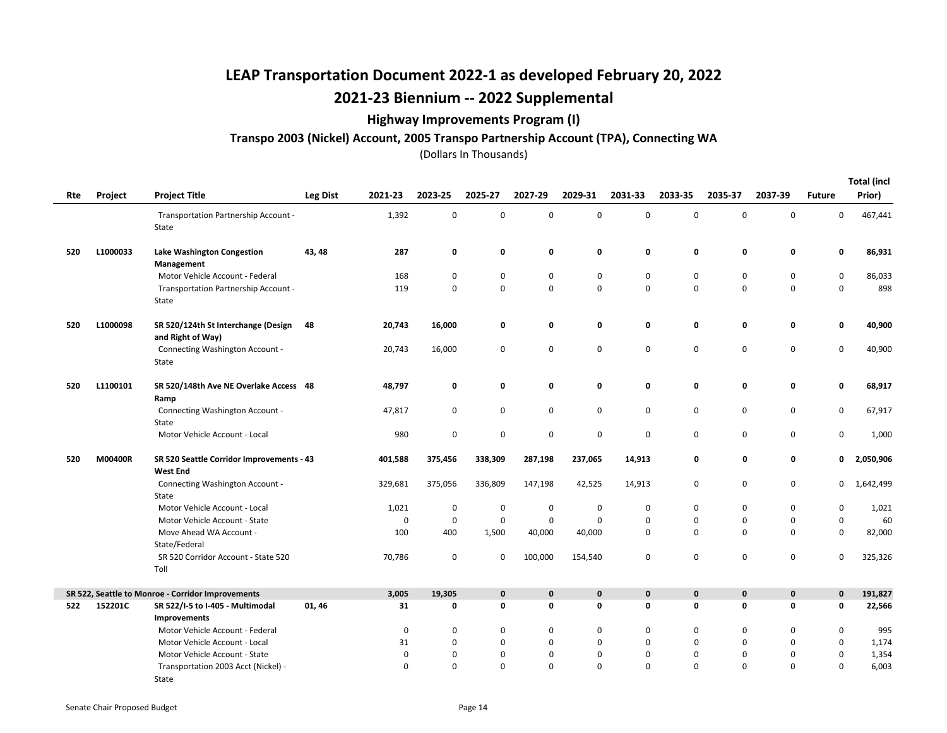### Highway Improvements Program (I)

#### Transpo 2003 (Nickel) Account, 2005 Transpo Partnership Account (TPA), Connecting WA

|     |          |                                                              |                 |             |             |             |             |             |             |             |             |             |               | <b>Total (incl</b> |
|-----|----------|--------------------------------------------------------------|-----------------|-------------|-------------|-------------|-------------|-------------|-------------|-------------|-------------|-------------|---------------|--------------------|
| Rte | Project  | <b>Project Title</b>                                         | <b>Leg Dist</b> | 2021-23     | 2023-25     | 2025-27     | 2027-29     | 2029-31     | 2031-33     | 2033-35     | 2035-37     | 2037-39     | <b>Future</b> | Prior)             |
|     |          | Transportation Partnership Account -<br>State                |                 | 1,392       | 0           | 0           | 0           | 0           | 0           | $\mathbf 0$ | 0           | 0           | 0             | 467,441            |
| 520 | L1000033 | Lake Washington Congestion<br>Management                     | 43, 48          | 287         | 0           | 0           | 0           | 0           | 0           | 0           | 0           | 0           | 0             | 86,931             |
|     |          | Motor Vehicle Account - Federal                              |                 | 168         | 0           | 0           | 0           | 0           | 0           | 0           | 0           | 0           | 0             | 86,033             |
|     |          | Transportation Partnership Account -<br>State                |                 | 119         | $\mathbf 0$ | 0           | $\mathsf 0$ | 0           | $\mathbf 0$ | $\Omega$    | $\pmb{0}$   | $\mathbf 0$ | 0             | 898                |
| 520 | L1000098 | SR 520/124th St Interchange (Design<br>and Right of Way)     | 48              | 20,743      | 16,000      | 0           | 0           | 0           | 0           | 0           | 0           | 0           | 0             | 40,900             |
|     |          | Connecting Washington Account -<br>State                     |                 | 20,743      | 16,000      | 0           | 0           | 0           | 0           | 0           | $\pmb{0}$   | $\mathbf 0$ | 0             | 40,900             |
| 520 | L1100101 | SR 520/148th Ave NE Overlake Access 48<br>Ramp               |                 | 48,797      | 0           | 0           | 0           | 0           | 0           | 0           | 0           | 0           | 0             | 68,917             |
|     |          | Connecting Washington Account -<br>State                     |                 | 47,817      | $\mathbf 0$ | 0           | 0           | 0           | 0           | 0           | 0           | $\mathbf 0$ | 0             | 67,917             |
|     |          | Motor Vehicle Account - Local                                |                 | 980         | $\mathbf 0$ | 0           | 0           | 0           | $\mathbf 0$ | $\mathbf 0$ | 0           | 0           | 0             | 1,000              |
| 520 | M00400R  | SR 520 Seattle Corridor Improvements - 43<br><b>West End</b> |                 | 401,588     | 375,456     | 338,309     | 287,198     | 237,065     | 14,913      | 0           | 0           | 0           | 0             | 2,050,906          |
|     |          | Connecting Washington Account -<br>State                     |                 | 329,681     | 375,056     | 336,809     | 147,198     | 42,525      | 14,913      | $\mathbf 0$ | 0           | 0           | 0             | 1,642,499          |
|     |          | Motor Vehicle Account - Local                                |                 | 1,021       | $\pmb{0}$   | 0           | 0           | 0           | 0           | $\mathbf 0$ | $\pmb{0}$   | $\pmb{0}$   | 0             | 1,021              |
|     |          | Motor Vehicle Account - State                                |                 | $\mathbf 0$ | $\mathbf 0$ | $\mathbf 0$ | $\mathsf 0$ | 0           | $\mathbf 0$ | $\pmb{0}$   | $\pmb{0}$   | $\mathbf 0$ | 0             | 60                 |
|     |          | Move Ahead WA Account -<br>State/Federal                     |                 | 100         | 400         | 1,500       | 40,000      | 40,000      | $\mathbf 0$ | $\mathbf 0$ | $\mathbf 0$ | $\mathbf 0$ | 0             | 82,000             |
|     |          | SR 520 Corridor Account - State 520<br>Toll                  |                 | 70,786      | $\mathbf 0$ | $\mathbf 0$ | 100,000     | 154,540     | $\mathbf 0$ | $\mathbf 0$ | $\pmb{0}$   | 0           | 0             | 325,326            |
|     |          | SR 522, Seattle to Monroe - Corridor Improvements            |                 | 3,005       | 19,305      | $\mathbf 0$ | $\mathbf 0$ | $\mathbf 0$ | $\mathbf 0$ | $\pmb{0}$   | $\mathbf 0$ | $\mathbf 0$ | $\mathbf 0$   | 191,827            |
| 522 | 152201C  | SR 522/I-5 to I-405 - Multimodal<br>Improvements             | 01,46           | 31          | 0           | 0           | 0           | 0           | 0           | 0           | 0           | 0           | 0             | 22,566             |
|     |          | Motor Vehicle Account - Federal                              |                 | 0           | 0           | 0           | 0           | 0           | 0           | 0           | 0           | 0           | 0             | 995                |
|     |          | Motor Vehicle Account - Local                                |                 | 31          | $\mathbf 0$ | 0           | $\mathbf 0$ | 0           | $\mathbf 0$ | $\mathbf 0$ | 0           | $\mathbf 0$ | $\mathbf 0$   | 1,174              |
|     |          | Motor Vehicle Account - State                                |                 | 0           | $\mathbf 0$ | 0           | 0           | 0           | 0           | 0           | $\mathbf 0$ | 0           | 0             | 1,354              |
|     |          | Transportation 2003 Acct (Nickel) -                          |                 | $\Omega$    | $\Omega$    | $\mathbf 0$ | $\mathbf 0$ | 0           | $\Omega$    | $\Omega$    | $\Omega$    | $\mathbf 0$ | $\mathbf 0$   | 6,003              |
|     |          | State                                                        |                 |             |             |             |             |             |             |             |             |             |               |                    |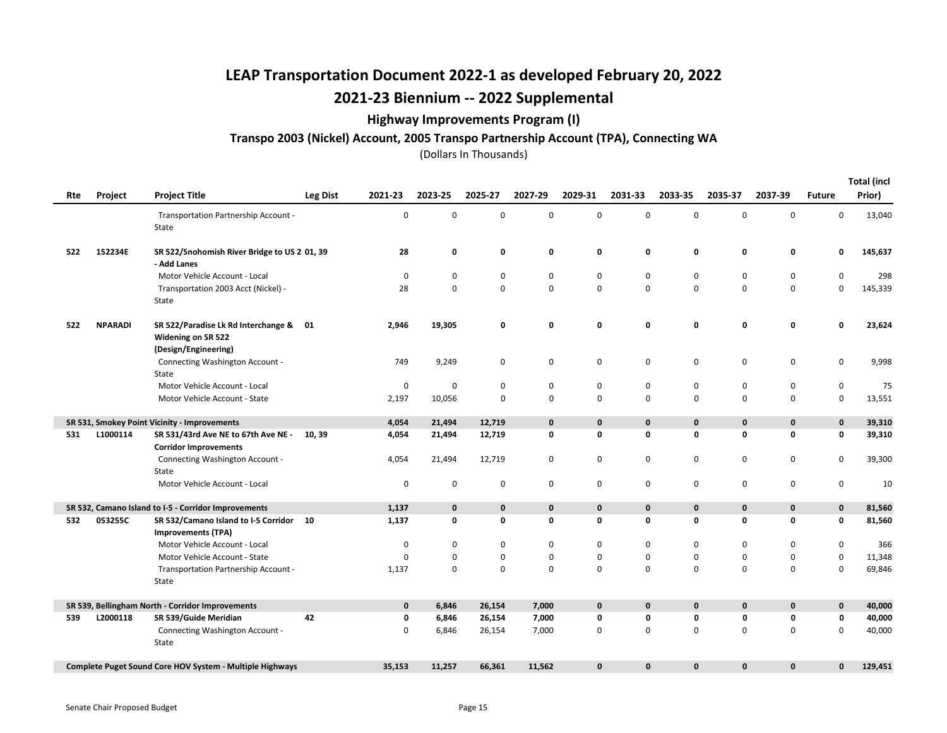### Highway Improvements Program (I)

#### Transpo 2003 (Nickel) Account, 2005 Transpo Partnership Account (TPA), Connecting WA

| Rte | Project        | <b>Project Title</b>                                                                 | <b>Leg Dist</b> | 2021-23     | 2023-25     | 2025-27 | 2027-29     | 2029-31      | 2031-33      | 2033-35     | 2035-37      | 2037-39      | <b>Future</b> | <b>Total (incl</b><br>Prior) |
|-----|----------------|--------------------------------------------------------------------------------------|-----------------|-------------|-------------|---------|-------------|--------------|--------------|-------------|--------------|--------------|---------------|------------------------------|
|     |                | Transportation Partnership Account -<br>State                                        |                 | $\pmb{0}$   | $\mathbf 0$ | 0       | 0           | $\mathbf 0$  | $\mathbf 0$  | $\mathbf 0$ | $\mathbf 0$  | 0            | 0             | 13,040                       |
| 522 | 152234E        | SR 522/Snohomish River Bridge to US 2 01, 39<br>- Add Lanes                          |                 | 28          | 0           | 0       | 0           | 0            | 0            | 0           | 0            | 0            | 0             | 145,637                      |
|     |                | Motor Vehicle Account - Local                                                        |                 | $\mathbf 0$ | 0           | 0       | $\pmb{0}$   | 0            | $\mathbf 0$  | $\mathbf 0$ | 0            | 0            | 0             | 298                          |
|     |                | Transportation 2003 Acct (Nickel) -<br>State                                         |                 | 28          | $\mathbf 0$ | 0       | $\mathbf 0$ | $\mathbf 0$  | 0            | $\mathbf 0$ | 0            | 0            | 0             | 145,339                      |
| 522 | <b>NPARADI</b> | SR 522/Paradise Lk Rd Interchange & 01<br>Widening on SR 522<br>(Design/Engineering) |                 | 2,946       | 19,305      | 0       | 0           | 0            | 0            | 0           | 0            | 0            | 0             | 23,624                       |
|     |                | Connecting Washington Account -<br>State                                             |                 | 749         | 9,249       | 0       | $\pmb{0}$   | $\mathsf 0$  | 0            | $\mathbf 0$ | 0            | 0            | $\pmb{0}$     | 9,998                        |
|     |                | Motor Vehicle Account - Local                                                        |                 | $\mathbf 0$ | 0           | 0       | 0           | 0            | 0            | 0           | 0            | 0            | 0             | 75                           |
|     |                | Motor Vehicle Account - State                                                        |                 | 2,197       | 10,056      | 0       | 0           | $\mathbf 0$  | $\Omega$     | $\mathbf 0$ | $\mathbf 0$  | $\mathbf 0$  | $\mathsf 0$   | 13,551                       |
|     |                | SR 531, Smokey Point Vicinity - Improvements                                         |                 | 4,054       | 21,494      | 12,719  | $\mathbf 0$ | $\mathbf 0$  | $\mathbf 0$  | 0           | $\mathbf{0}$ | 0            | $\mathbf 0$   | 39,310                       |
| 531 | L1000114       | SR 531/43rd Ave NE to 67th Ave NE -<br><b>Corridor Improvements</b>                  | 10, 39          | 4,054       | 21,494      | 12,719  | 0           | $\mathbf 0$  | 0            | 0           | 0            | 0            | 0             | 39,310                       |
|     |                | Connecting Washington Account -<br>State                                             |                 | 4,054       | 21,494      | 12,719  | 0           | 0            | 0            | 0           | 0            | 0            | 0             | 39,300                       |
|     |                | Motor Vehicle Account - Local                                                        |                 | $\mathbf 0$ | $\mathbf 0$ | 0       | 0           | $\mathbf 0$  | 0            | $\mathbf 0$ | 0            | 0            | 0             | 10                           |
|     |                | SR 532, Camano Island to I-5 - Corridor Improvements                                 |                 | 1,137       | $\mathbf 0$ | 0       | $\mathbf 0$ | $\mathbf 0$  | $\mathbf 0$  | $\bf{0}$    | $\mathbf 0$  | $\mathbf 0$  | $\mathbf 0$   | 81,560                       |
| 532 | 053255C        | SR 532/Camano Island to I-5 Corridor 10<br><b>Improvements (TPA)</b>                 |                 | 1,137       | 0           | 0       | 0           | 0            | $\mathbf 0$  | 0           | 0            | 0            | 0             | 81,560                       |
|     |                | Motor Vehicle Account - Local                                                        |                 | 0           | 0           | 0       | 0           | 0            | 0            | 0           | 0            | 0            | 0             | 366                          |
|     |                | Motor Vehicle Account - State                                                        |                 | $\mathbf 0$ | $\mathbf 0$ | 0       | 0           | 0            | $\mathbf 0$  | $\mathbf 0$ | 0            | 0            | $\mathsf 0$   | 11,348                       |
|     |                | Transportation Partnership Account -<br>State                                        |                 | 1,137       | $\mathbf 0$ | 0       | $\mathbf 0$ | $\mathbf 0$  | $\Omega$     | $\mathbf 0$ | $\mathbf 0$  | 0            | 0             | 69,846                       |
|     |                | SR 539, Bellingham North - Corridor Improvements                                     |                 | $\mathbf 0$ | 6,846       | 26,154  | 7,000       | $\mathbf 0$  | $\mathbf 0$  | $\mathbf 0$ | $\mathbf 0$  | $\mathbf 0$  | $\mathbf 0$   | 40,000                       |
| 539 | L2000118       | SR 539/Guide Meridian                                                                | 42              | 0           | 6,846       | 26,154  | 7,000       | 0            | 0            | 0           | 0            | 0            | 0             | 40,000                       |
|     |                | Connecting Washington Account -<br>State                                             |                 | $\mathbf 0$ | 6,846       | 26,154  | 7,000       | 0            | $\Omega$     | $\mathbf 0$ | 0            | 0            | 0             | 40,000                       |
|     |                | Complete Puget Sound Core HOV System - Multiple Highways                             |                 | 35,153      | 11,257      | 66,361  | 11,562      | $\mathbf{0}$ | $\mathbf{0}$ | $\mathbf 0$ | 0            | $\mathbf{0}$ | $\mathbf{0}$  | 129,451                      |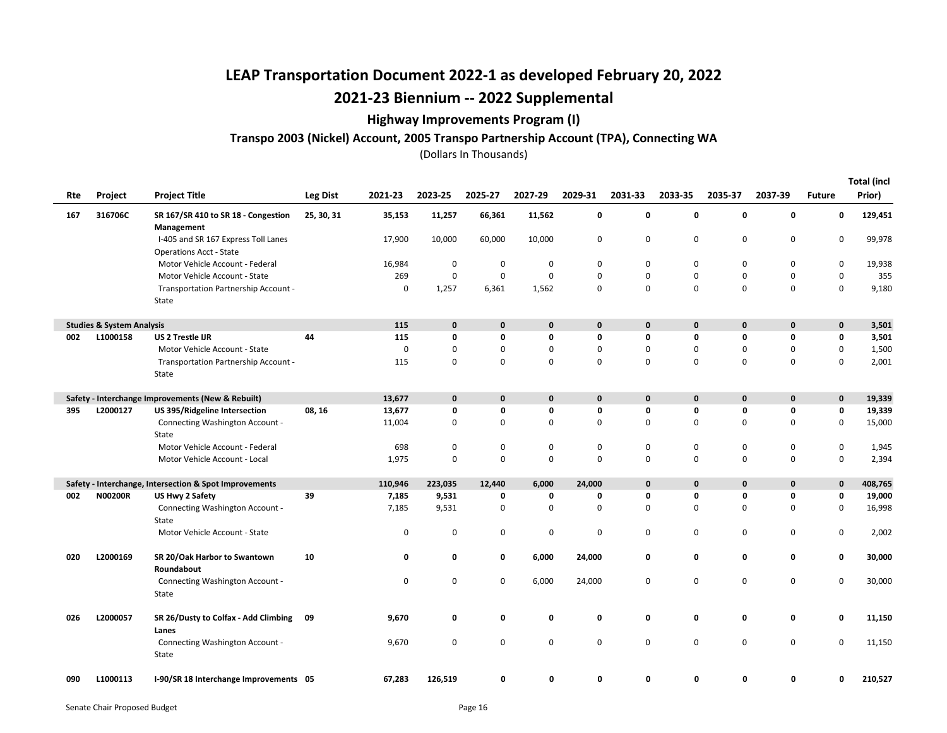### Highway Improvements Program (I)

#### Transpo 2003 (Nickel) Account, 2005 Transpo Partnership Account (TPA), Connecting WA

| Rte | Project                              | <b>Project Title</b>                                                  | <b>Leg Dist</b> | 2021-23 | 2023-25     | 2025-27 | 2027-29     | 2029-31     | 2031-33      | 2033-35     | 2035-37     | 2037-39      | <b>Future</b> | <b>Total (incl</b><br>Prior) |
|-----|--------------------------------------|-----------------------------------------------------------------------|-----------------|---------|-------------|---------|-------------|-------------|--------------|-------------|-------------|--------------|---------------|------------------------------|
| 167 | 316706C                              | SR 167/SR 410 to SR 18 - Congestion<br>Management                     | 25, 30, 31      | 35,153  | 11,257      | 66,361  | 11,562      | 0           | 0            | 0           | 0           | 0            | 0             | 129,451                      |
|     |                                      | I-405 and SR 167 Express Toll Lanes<br><b>Operations Acct - State</b> |                 | 17,900  | 10,000      | 60,000  | 10,000      | 0           | 0            | 0           | $\mathbf 0$ | $\mathbf 0$  | 0             | 99,978                       |
|     |                                      | Motor Vehicle Account - Federal                                       |                 | 16,984  | 0           | 0       | 0           | 0           | 0            | 0           | 0           | 0            | 0             | 19,938                       |
|     |                                      | Motor Vehicle Account - State                                         |                 | 269     | $\mathbf 0$ | 0       | 0           | 0           | $\Omega$     | $\mathbf 0$ | $\mathbf 0$ | 0            | 0             | 355                          |
|     |                                      | Transportation Partnership Account -<br>State                         |                 | 0       | 1,257       | 6,361   | 1,562       | 0           | 0            | 0           | $\mathbf 0$ | 0            | 0             | 9,180                        |
|     | <b>Studies &amp; System Analysis</b> |                                                                       |                 | 115     | $\mathbf 0$ | 0       | 0           | 0           | $\mathbf{0}$ | 0           | $\mathbf 0$ | $\mathbf 0$  | 0             | 3,501                        |
| 002 | L1000158                             | <b>US 2 Trestle IJR</b>                                               | 44              | 115     | $\mathbf 0$ | 0       | 0           | 0           | 0            | 0           | $\mathbf 0$ | 0            | 0             | 3,501                        |
|     |                                      | Motor Vehicle Account - State                                         |                 | 0       | 0           | 0       | 0           | 0           | 0            | 0           | 0           | 0            | 0             | 1,500                        |
|     |                                      | Transportation Partnership Account -<br>State                         |                 | 115     | $\mathbf 0$ | 0       | $\mathbf 0$ | $\mathbf 0$ | $\Omega$     | $\Omega$    | $\mathbf 0$ | $\mathbf 0$  | 0             | 2,001                        |
|     |                                      | Safety - Interchange Improvements (New & Rebuilt)                     |                 | 13,677  | $\mathbf 0$ | 0       | 0           | $\mathbf 0$ | $\mathbf{0}$ | $\mathbf 0$ | $\mathbf 0$ | $\mathbf 0$  | 0             | 19,339                       |
| 395 | L2000127                             | US 395/Ridgeline Intersection                                         | 08, 16          | 13,677  | 0           | 0       | 0           | 0           | 0            | 0           | 0           | 0            | 0             | 19,339                       |
|     |                                      | Connecting Washington Account -<br>State                              |                 | 11,004  | $\mathbf 0$ | 0       | $\mathbf 0$ | 0           | 0            | 0           | $\mathbf 0$ | 0            | 0             | 15,000                       |
|     |                                      | Motor Vehicle Account - Federal                                       |                 | 698     | 0           | 0       | 0           | 0           | 0            | 0           | 0           | 0            | 0             | 1,945                        |
|     |                                      | Motor Vehicle Account - Local                                         |                 | 1,975   | $\mathbf 0$ | 0       | 0           | $\mathbf 0$ | $\Omega$     | $\Omega$    | $\mathbf 0$ | $\mathbf 0$  | 0             | 2,394                        |
|     |                                      | Safety - Interchange, Intersection & Spot Improvements                |                 | 110,946 | 223,035     | 12,440  | 6,000       | 24,000      | $\mathbf{0}$ | $\mathbf 0$ | $\mathbf 0$ | $\mathbf{0}$ | 0             | 408,765                      |
| 002 | <b>N00200R</b>                       | US Hwy 2 Safety                                                       | 39              | 7,185   | 9,531       | 0       | 0           | 0           | 0            | 0           | 0           | 0            | 0             | 19,000                       |
|     |                                      | Connecting Washington Account -<br>State                              |                 | 7,185   | 9,531       | 0       | 0           | 0           | 0            | 0           | $\mathbf 0$ | 0            | 0             | 16,998                       |
|     |                                      | Motor Vehicle Account - State                                         |                 | 0       | $\mathbf 0$ | 0       | 0           | 0           | 0            | 0           | $\mathbf 0$ | 0            | 0             | 2,002                        |
| 020 | L2000169                             | SR 20/Oak Harbor to Swantown<br>Roundabout                            | 10              | 0       | 0           | 0       | 6,000       | 24,000      | 0            | 0           | 0           | 0            | 0             | 30,000                       |
|     |                                      | Connecting Washington Account -<br>State                              |                 | 0       | $\mathbf 0$ | 0       | 6,000       | 24,000      | 0            | $\mathbf 0$ | $\mathbf 0$ | 0            | 0             | 30,000                       |
| 026 | L2000057                             | SR 26/Dusty to Colfax - Add Climbing<br>Lanes                         | 09              | 9,670   | 0           | 0       | 0           | 0           | 0            | 0           | 0           | 0            | 0             | 11,150                       |
|     |                                      | Connecting Washington Account -<br>State                              |                 | 9,670   | 0           | 0       | 0           | 0           | 0            | 0           | $\mathbf 0$ | 0            | 0             | 11,150                       |
| 090 | L1000113                             | I-90/SR 18 Interchange Improvements 05                                |                 | 67,283  | 126,519     | 0       | 0           | 0           | 0            | 0           | 0           | 0            | 0             | 210,527                      |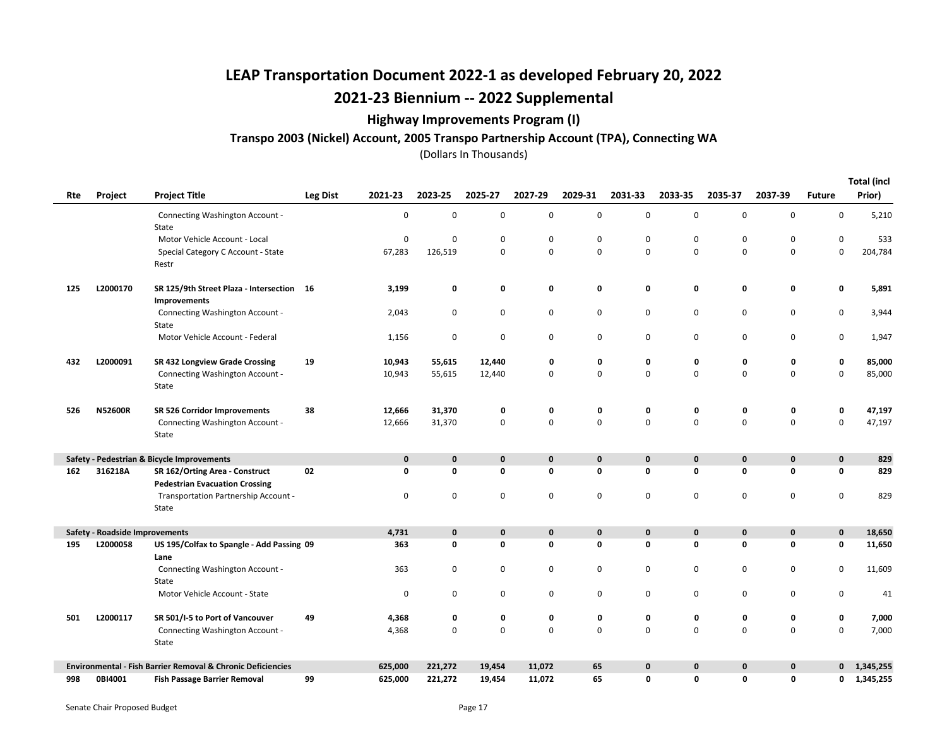### Highway Improvements Program (I)

### Transpo 2003 (Nickel) Account, 2005 Transpo Partnership Account (TPA), Connecting WA

(Dollars In Thousands)

Total (incl

| Rte | Project                               | <b>Project Title</b>                                        | <b>Leg Dist</b> | 2021-23 | 2023-25     | 2025-27     | 2027-29     | 2029-31     | 2031-33      | 2033-35     | 2035-37     | 2037-39     | <b>Future</b> | Total (incl<br>Prior) |
|-----|---------------------------------------|-------------------------------------------------------------|-----------------|---------|-------------|-------------|-------------|-------------|--------------|-------------|-------------|-------------|---------------|-----------------------|
|     |                                       | Connecting Washington Account -                             |                 | 0       | $\mathbf 0$ | 0           | 0           | 0           | $\mathbf 0$  | $\mathbf 0$ | 0           | 0           | 0             | 5,210                 |
|     |                                       | State                                                       |                 |         |             |             |             |             |              |             |             |             |               |                       |
|     |                                       | Motor Vehicle Account - Local                               |                 | 0       | $\mathbf 0$ | 0           | 0           | $\pmb{0}$   | $\mathbf 0$  | $\mathbf 0$ | 0           | 0           | 0             | 533                   |
|     |                                       | Special Category C Account - State                          |                 | 67,283  | 126,519     | 0           | 0           | $\mathbf 0$ | $\mathbf 0$  | $\mathbf 0$ | 0           | 0           | 0             | 204,784               |
|     |                                       | Restr                                                       |                 |         |             |             |             |             |              |             |             |             |               |                       |
| 125 | L2000170                              | SR 125/9th Street Plaza - Intersection 16<br>Improvements   |                 | 3,199   | 0           | 0           | 0           | 0           | 0            | 0           | 0           | 0           | 0             | 5,891                 |
|     |                                       | Connecting Washington Account -<br>State                    |                 | 2,043   | 0           | 0           | 0           | 0           | 0            | 0           | 0           | 0           | 0             | 3,944                 |
|     |                                       | Motor Vehicle Account - Federal                             |                 | 1,156   | $\mathbf 0$ | $\mathbf 0$ | 0           | 0           | $\mathbf 0$  | $\mathsf 0$ | 0           | 0           | $\mathsf 0$   | 1,947                 |
| 432 | L2000091                              | SR 432 Longview Grade Crossing                              | 19              | 10,943  | 55,615      | 12,440      | 0           | 0           | 0            | 0           | 0           | 0           | 0             | 85,000                |
|     |                                       | Connecting Washington Account -                             |                 | 10,943  | 55,615      | 12,440      | 0           | 0           | $\mathbf 0$  | $\mathbf 0$ | 0           | 0           | 0             | 85,000                |
|     |                                       | State                                                       |                 |         |             |             |             |             |              |             |             |             |               |                       |
| 526 | <b>N52600R</b>                        | SR 526 Corridor Improvements                                | 38              | 12,666  | 31,370      | 0           | 0           | 0           | 0            | 0           | 0           | 0           | 0             | 47,197                |
|     |                                       | Connecting Washington Account -                             |                 | 12,666  | 31,370      | 0           | 0           | 0           | $\mathbf 0$  | $\mathsf 0$ | 0           | 0           | 0             | 47,197                |
|     |                                       | State                                                       |                 |         |             |             |             |             |              |             |             |             |               |                       |
|     |                                       | Safety - Pedestrian & Bicycle Improvements                  |                 | 0       | $\mathbf 0$ | 0           | 0           | $\mathbf 0$ | $\mathbf 0$  | $\mathbf 0$ | $\bf{0}$    | $\mathbf 0$ | $\mathbf 0$   | 829                   |
| 162 | 316218A                               | SR 162/Orting Area - Construct                              | 02              | 0       | 0           | 0           | 0           | 0           | 0            | $\mathbf 0$ | 0           | 0           | 0             | 829                   |
|     |                                       | <b>Pedestrian Evacuation Crossing</b>                       |                 |         |             |             |             |             |              |             |             |             |               |                       |
|     |                                       | Transportation Partnership Account -                        |                 | 0       | $\pmb{0}$   | 0           | 0           | $\mathbf 0$ | $\mathbf 0$  | $\mathbf 0$ | 0           | 0           | 0             | 829                   |
|     |                                       | State                                                       |                 |         |             |             |             |             |              |             |             |             |               |                       |
|     | <b>Safety - Roadside Improvements</b> |                                                             |                 | 4,731   | $\mathbf 0$ | 0           | 0           | $\mathbf 0$ | $\mathbf{0}$ | $\bf{0}$    | $\mathbf 0$ | $\mathbf 0$ | $\mathbf 0$   | 18,650                |
| 195 | L2000058                              | US 195/Colfax to Spangle - Add Passing 09                   |                 | 363     | $\mathbf 0$ | 0           | 0           | 0           | $\mathbf{0}$ | 0           | 0           | 0           | 0             | 11,650                |
|     |                                       | Lane                                                        |                 |         |             |             |             |             |              |             |             |             |               |                       |
|     |                                       | Connecting Washington Account -                             |                 | 363     | 0           | 0           | 0           | 0           | 0            | 0           | 0           | 0           | 0             | 11,609                |
|     |                                       | State                                                       |                 |         |             |             |             |             |              |             |             |             |               |                       |
|     |                                       | Motor Vehicle Account - State                               |                 | 0       | $\mathbf 0$ | 0           | 0           | 0           | $\mathbf 0$  | 0           | 0           | 0           | $\mathsf 0$   | 41                    |
| 501 | L2000117                              | SR 501/I-5 to Port of Vancouver                             | 49              | 4,368   | 0           | 0           | 0           | 0           | 0            | 0           | 0           | 0           | 0             | 7,000                 |
|     |                                       | Connecting Washington Account -<br>State                    |                 | 4,368   | $\mathbf 0$ | $\mathbf 0$ | $\mathbf 0$ | 0           | $\mathbf 0$  | $\mathbf 0$ | 0           | 0           | 0             | 7,000                 |
|     |                                       | Environmental - Fish Barrier Removal & Chronic Deficiencies |                 | 625,000 | 221,272     | 19,454      | 11,072      | 65          | $\mathbf 0$  | $\mathbf 0$ | 0           | 0           | 0             | 1,345,255             |
| 998 | 0BI4001                               | <b>Fish Passage Barrier Removal</b>                         | 99              | 625,000 | 221,272     | 19,454      | 11,072      | 65          | 0            | 0           | 0           | 0           | 0             | 1,345,255             |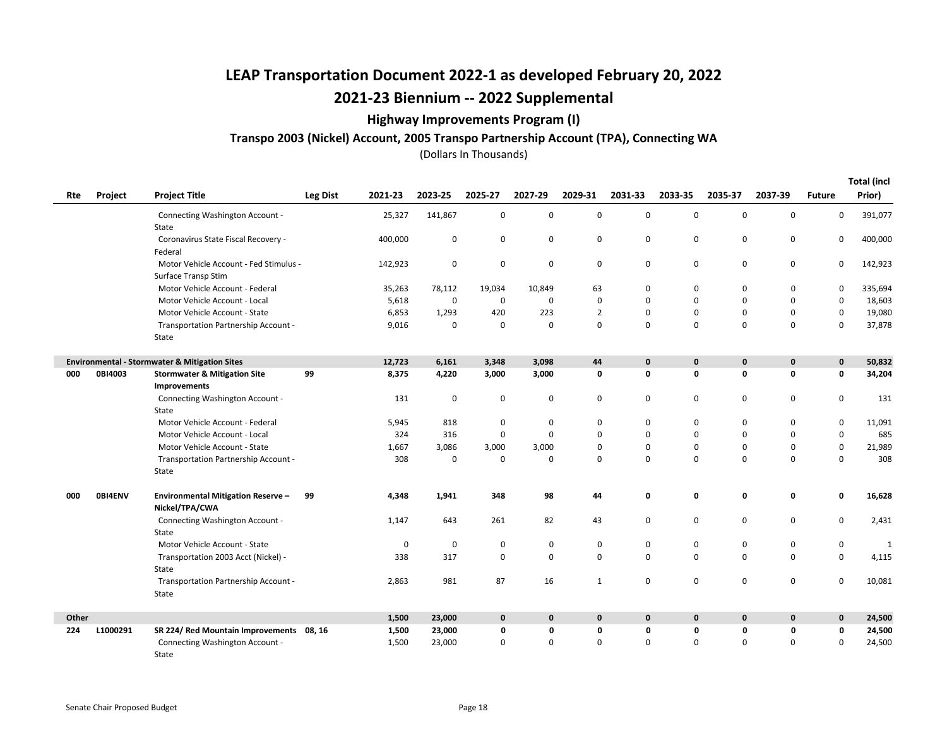### Highway Improvements Program (I)

#### Transpo 2003 (Nickel) Account, 2005 Transpo Partnership Account (TPA), Connecting WA

Total (incl

|       |          |                                                          |                 |             |             |             |             |                |             |              |             |             |               | <b>Total (incl</b> |
|-------|----------|----------------------------------------------------------|-----------------|-------------|-------------|-------------|-------------|----------------|-------------|--------------|-------------|-------------|---------------|--------------------|
| Rte   | Project  | <b>Project Title</b>                                     | <b>Leg Dist</b> | 2021-23     | 2023-25     | 2025-27     | 2027-29     | 2029-31        | 2031-33     | 2033-35      | 2035-37     | 2037-39     | <b>Future</b> | Prior)             |
|       |          | Connecting Washington Account -                          |                 | 25,327      | 141,867     | 0           | 0           | 0              | 0           | $\mathbf 0$  | 0           | $\pmb{0}$   | 0             | 391,077            |
|       |          | State                                                    |                 |             |             |             |             |                |             |              |             |             |               |                    |
|       |          | Coronavirus State Fiscal Recovery -                      |                 | 400,000     | 0           | $\mathbf 0$ | 0           | 0              | $\pmb{0}$   | 0            | 0           | $\pmb{0}$   | $\mathbf 0$   | 400,000            |
|       |          | Federal                                                  |                 |             |             |             |             |                |             |              |             |             |               |                    |
|       |          | Motor Vehicle Account - Fed Stimulus -                   |                 | 142,923     | 0           | $\mathbf 0$ | 0           | 0              | 0           | 0            | 0           | $\mathbf 0$ | 0             | 142,923            |
|       |          | Surface Transp Stim                                      |                 |             |             |             |             |                |             |              |             |             |               |                    |
|       |          | Motor Vehicle Account - Federal                          |                 | 35,263      | 78,112      | 19,034      | 10,849      | 63             | $\mathbf 0$ | $\mathbf 0$  | $\mathbf 0$ | $\mathbf 0$ | $\mathbf 0$   | 335,694            |
|       |          | Motor Vehicle Account - Local                            |                 | 5,618       | 0           | $\mathbf 0$ | $\mathbf 0$ | 0              | $\mathbf 0$ | $\Omega$     | $\Omega$    | $\Omega$    | $\mathbf 0$   | 18,603             |
|       |          | Motor Vehicle Account - State                            |                 | 6,853       | 1,293       | 420         | 223         | $\overline{2}$ | 0           | $\Omega$     | $\Omega$    | $\Omega$    | $\mathbf 0$   | 19,080             |
|       |          | Transportation Partnership Account -                     |                 | 9,016       | $\mathbf 0$ | $\mathbf 0$ | 0           | 0              | 0           | $\Omega$     | $\Omega$    | $\Omega$    | 0             | 37,878             |
|       |          | State                                                    |                 |             |             |             |             |                |             |              |             |             |               |                    |
|       |          | <b>Environmental - Stormwater &amp; Mitigation Sites</b> |                 | 12,723      | 6,161       | 3,348       | 3,098       | 44             | $\mathbf 0$ | 0            | $\mathbf 0$ | $\mathbf 0$ | $\mathbf 0$   | 50,832             |
| 000   | 0BI4003  | <b>Stormwater &amp; Mitigation Site</b>                  | 99              | 8,375       | 4,220       | 3,000       | 3,000       | 0              | 0           | 0            | 0           | 0           | $\mathbf 0$   | 34,204             |
|       |          | Improvements                                             |                 |             |             |             |             |                |             |              |             |             |               |                    |
|       |          | Connecting Washington Account -                          |                 | 131         | $\mathbf 0$ | $\mathbf 0$ | 0           | 0              | 0           | 0            | 0           | 0           | 0             | 131                |
|       |          | State                                                    |                 |             |             |             |             |                |             |              |             |             |               |                    |
|       |          | Motor Vehicle Account - Federal                          |                 | 5,945       | 818         | 0           | 0           | 0              | 0           | 0            | 0           | 0           | $\mathbf 0$   | 11,091             |
|       |          | Motor Vehicle Account - Local                            |                 | 324         | 316         | $\mathbf 0$ | $\mathbf 0$ | 0              | $\mathbf 0$ | $\Omega$     | $\Omega$    | $\Omega$    | $\mathbf 0$   | 685                |
|       |          | Motor Vehicle Account - State                            |                 | 1,667       | 3,086       | 3,000       | 3,000       | 0              | $\mathbf 0$ | $\Omega$     | $\Omega$    | $\Omega$    | $\mathsf 0$   | 21,989             |
|       |          | Transportation Partnership Account -                     |                 | 308         | $\mathbf 0$ | $\mathbf 0$ | 0           | $\mathbf 0$    | 0           | $\Omega$     | $\Omega$    | $\mathbf 0$ | $\mathbf 0$   | 308                |
|       |          | State                                                    |                 |             |             |             |             |                |             |              |             |             |               |                    |
| 000   | 0BI4ENV  | <b>Environmental Mitigation Reserve -</b>                | 99              | 4,348       | 1,941       | 348         | 98          | 44             | 0           | 0            | 0           | 0           | $\mathbf 0$   | 16,628             |
|       |          | Nickel/TPA/CWA                                           |                 |             |             |             |             |                |             |              |             |             |               |                    |
|       |          | Connecting Washington Account -                          |                 | 1,147       | 643         | 261         | 82          | 43             | 0           | 0            | 0           | 0           | 0             | 2,431              |
|       |          | State                                                    |                 |             |             |             |             |                |             |              |             |             |               |                    |
|       |          | Motor Vehicle Account - State                            |                 | $\mathbf 0$ | $\mathbf 0$ | $\mathbf 0$ | 0           | 0              | 0           | 0            | 0           | 0           | 0             | 1                  |
|       |          | Transportation 2003 Acct (Nickel) -                      |                 | 338         | 317         | $\mathbf 0$ | 0           | 0              | $\mathbf 0$ | 0            | $\Omega$    | $\mathbf 0$ | $\mathsf 0$   | 4,115              |
|       |          | State                                                    |                 |             |             |             |             |                |             |              |             |             |               |                    |
|       |          | Transportation Partnership Account -                     |                 | 2,863       | 981         | 87          | 16          | $\mathbf{1}$   | $\mathbf 0$ | 0            | 0           | $\mathbf 0$ | $\mathbf 0$   | 10,081             |
|       |          | State                                                    |                 |             |             |             |             |                |             |              |             |             |               |                    |
| Other |          |                                                          |                 | 1,500       | 23,000      | $\mathbf 0$ | 0           | $\mathbf 0$    | $\mathbf 0$ | $\mathbf{0}$ | $\mathbf 0$ | $\mathbf 0$ | $\mathbf{0}$  | 24,500             |
| 224   | L1000291 | SR 224/ Red Mountain Improvements 08, 16                 |                 | 1,500       | 23,000      | 0           | 0           | 0              | 0           | 0            | 0           | 0           | 0             | 24,500             |
|       |          | Connecting Washington Account -                          |                 | 1,500       | 23,000      | $\mathbf 0$ | 0           | $\mathbf 0$    | $\mathbf 0$ | 0            | $\Omega$    | $\mathbf 0$ | $\mathbf 0$   | 24,500             |
|       |          | State                                                    |                 |             |             |             |             |                |             |              |             |             |               |                    |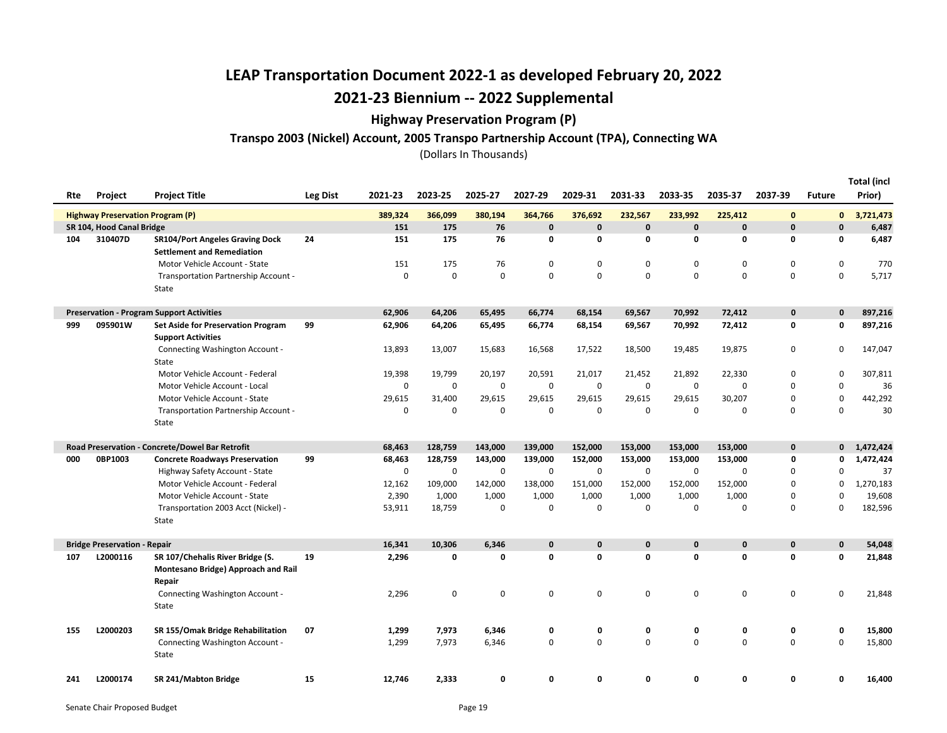### Highway Preservation Program (P)

#### Transpo 2003 (Nickel) Account, 2005 Transpo Partnership Account (TPA), Connecting WA

| Rte | <b>Project</b>                                                       | <b>Project Title</b>                                                                     | Leg Dist | 2021-23          | 2023-25            | 2025-27            | 2027-29                 | 2029-31                | 2031-33                 | 2033-35                 | 2035-37                 | 2037-39                      | <b>Future</b>                | <b>Total (incl</b><br>Prior) |
|-----|----------------------------------------------------------------------|------------------------------------------------------------------------------------------|----------|------------------|--------------------|--------------------|-------------------------|------------------------|-------------------------|-------------------------|-------------------------|------------------------------|------------------------------|------------------------------|
|     |                                                                      |                                                                                          |          |                  |                    |                    |                         |                        |                         |                         |                         |                              |                              |                              |
|     | <b>Highway Preservation Program (P)</b><br>SR 104, Hood Canal Bridge |                                                                                          |          | 389,324<br>151   | 366,099<br>175     | 380,194<br>76      | 364,766<br>$\mathbf{0}$ | 376,692<br>$\mathbf 0$ | 232,567<br>$\mathbf{0}$ | 233,992<br>$\mathbf{0}$ | 225,412<br>$\mathbf{0}$ | $\mathbf{0}$<br>$\mathbf{0}$ | $\mathbf{0}$<br>$\mathbf{0}$ | 3,721,473<br>6,487           |
| 104 | 310407D                                                              | <b>SR104/Port Angeles Graving Dock</b>                                                   | 24       | 151              | 175                | 76                 | 0                       | 0                      | 0                       | 0                       | $\mathbf 0$             | $\mathbf 0$                  | 0                            | 6,487                        |
|     |                                                                      | <b>Settlement and Remediation</b>                                                        |          |                  |                    |                    |                         |                        |                         |                         |                         |                              |                              |                              |
|     |                                                                      | Motor Vehicle Account - State                                                            |          | 151              | 175                | 76                 | $\mathsf 0$             | 0                      | $\mathbf 0$             | 0                       | $\mathbf 0$             | $\mathbf 0$                  | 0                            | 770                          |
|     |                                                                      | Transportation Partnership Account -                                                     |          | 0                | $\mathbf 0$        | $\mathbf 0$        | $\mathsf 0$             | 0                      | $\mathbf 0$             | $\Omega$                | $\Omega$                | $\mathbf 0$                  | 0                            | 5,717                        |
|     |                                                                      | State                                                                                    |          |                  |                    |                    |                         |                        |                         |                         |                         |                              |                              |                              |
|     |                                                                      |                                                                                          |          |                  |                    |                    |                         |                        |                         |                         |                         |                              |                              |                              |
|     |                                                                      | <b>Preservation - Program Support Activities</b>                                         |          | 62,906           | 64,206             | 65,495             | 66,774                  | 68,154                 | 69,567                  | 70,992                  | 72,412                  | $\mathbf 0$                  | 0                            | 897,216                      |
| 999 | 095901W                                                              | <b>Set Aside for Preservation Program</b>                                                | 99       | 62,906           | 64,206             | 65,495             | 66,774                  | 68,154                 | 69,567                  | 70,992                  | 72,412                  | 0                            | 0                            | 897,216                      |
|     |                                                                      | <b>Support Activities</b>                                                                |          |                  |                    |                    |                         |                        |                         |                         |                         |                              |                              |                              |
|     |                                                                      | Connecting Washington Account -                                                          |          | 13,893           | 13,007             | 15,683             | 16,568                  | 17,522                 | 18,500                  | 19,485                  | 19,875                  | 0                            | 0                            | 147,047                      |
|     |                                                                      | State                                                                                    |          |                  |                    |                    |                         |                        |                         |                         |                         |                              |                              |                              |
|     |                                                                      | Motor Vehicle Account - Federal                                                          |          | 19,398           | 19,799             | 20,197             | 20,591                  | 21,017                 | 21,452                  | 21,892                  | 22,330                  | 0                            | 0                            | 307,811                      |
|     |                                                                      | Motor Vehicle Account - Local                                                            |          | $\mathbf 0$      | 0                  | $\mathbf 0$        | 0                       | $\mathbf 0$            | $\mathbf 0$             | 0                       | $\mathbf 0$             | $\mathbf 0$                  | $\mathbf 0$                  | 36                           |
|     |                                                                      | Motor Vehicle Account - State                                                            |          | 29,615           | 31,400             | 29,615             | 29,615                  | 29,615                 | 29,615                  | 29,615                  | 30,207                  | 0                            | 0                            | 442,292                      |
|     |                                                                      | Transportation Partnership Account -                                                     |          | 0                | $\mathbf 0$        | $\mathbf 0$        | $\mathsf 0$             | $\mathsf 0$            | 0                       | 0                       | $\mathbf 0$             | $\mathbf 0$                  | $\mathbf 0$                  | 30                           |
|     |                                                                      | State                                                                                    |          |                  |                    |                    |                         |                        |                         |                         |                         |                              |                              |                              |
|     |                                                                      |                                                                                          |          |                  |                    |                    |                         |                        |                         |                         |                         |                              |                              |                              |
| 000 | 0BP1003                                                              | Road Preservation - Concrete/Dowel Bar Retrofit<br><b>Concrete Roadways Preservation</b> | 99       | 68,463<br>68,463 | 128,759<br>128,759 | 143,000<br>143,000 | 139,000<br>139,000      | 152,000<br>152,000     | 153,000<br>153,000      | 153,000<br>153,000      | 153,000<br>153,000      | $\mathbf 0$<br>0             | 0<br>0                       | 1,472,424<br>1,472,424       |
|     |                                                                      | Highway Safety Account - State                                                           |          | 0                | 0                  | 0                  | 0                       | 0                      | 0                       | 0                       | 0                       | 0                            | 0                            | 37                           |
|     |                                                                      | Motor Vehicle Account - Federal                                                          |          | 12,162           | 109,000            | 142,000            | 138,000                 | 151,000                | 152,000                 | 152,000                 | 152,000                 | $\Omega$                     | 0                            | 1,270,183                    |
|     |                                                                      | Motor Vehicle Account - State                                                            |          | 2,390            | 1,000              | 1,000              | 1,000                   | 1,000                  | 1,000                   | 1,000                   | 1,000                   | 0                            | 0                            | 19,608                       |
|     |                                                                      | Transportation 2003 Acct (Nickel) -                                                      |          | 53,911           | 18,759             | $\mathbf 0$        | $\mathbf 0$             | $\pmb{0}$              | $\mathbf 0$             | $\Omega$                | $\mathbf 0$             | $\mathbf 0$                  | $\Omega$                     | 182,596                      |
|     |                                                                      | State                                                                                    |          |                  |                    |                    |                         |                        |                         |                         |                         |                              |                              |                              |
|     |                                                                      |                                                                                          |          |                  |                    |                    |                         |                        |                         |                         |                         |                              |                              |                              |
|     | <b>Bridge Preservation - Repair</b>                                  |                                                                                          |          | 16,341           | 10.306             | 6.346              | $\mathbf{0}$            | $\mathbf{0}$           | $\mathbf{0}$            | $\mathbf{0}$            | $\mathbf{0}$            | $\mathbf{0}$                 | $\mathbf{0}$                 | 54,048                       |
| 107 | L2000116                                                             | SR 107/Chehalis River Bridge (S.                                                         | 19       | 2,296            | 0                  | 0                  | 0                       | 0                      | 0                       | 0                       | $\mathbf 0$             | $\mathbf 0$                  | 0                            | 21,848                       |
|     |                                                                      | Montesano Bridge) Approach and Rail                                                      |          |                  |                    |                    |                         |                        |                         |                         |                         |                              |                              |                              |
|     |                                                                      | Repair                                                                                   |          |                  |                    |                    |                         |                        |                         |                         |                         |                              |                              |                              |
|     |                                                                      | Connecting Washington Account -                                                          |          | 2,296            | $\mathbf 0$        | $\mathbf 0$        | $\mathbf 0$             | $\mathbf 0$            | 0                       | 0                       | $\mathbf 0$             | $\mathbf 0$                  | 0                            | 21,848                       |
|     |                                                                      | State                                                                                    |          |                  |                    |                    |                         |                        |                         |                         |                         |                              |                              |                              |
| 155 | L2000203                                                             | SR 155/Omak Bridge Rehabilitation                                                        | 07       | 1,299            | 7,973              | 6,346              | 0                       | 0                      | 0                       | 0                       | 0                       | 0                            | 0                            | 15,800                       |
|     |                                                                      | Connecting Washington Account -                                                          |          | 1,299            | 7,973              | 6,346              | $\mathbf 0$             | 0                      | $\Omega$                | $\Omega$                | $\mathbf 0$             | $\Omega$                     | 0                            | 15,800                       |
|     |                                                                      | State                                                                                    |          |                  |                    |                    |                         |                        |                         |                         |                         |                              |                              |                              |
|     |                                                                      |                                                                                          |          |                  |                    |                    |                         |                        |                         |                         |                         |                              |                              |                              |
| 241 | L2000174                                                             | SR 241/Mabton Bridge                                                                     | 15       | 12,746           | 2,333              | 0                  | 0                       | 0                      | 0                       | $\Omega$                | $\mathbf 0$             | 0                            | 0                            | 16,400                       |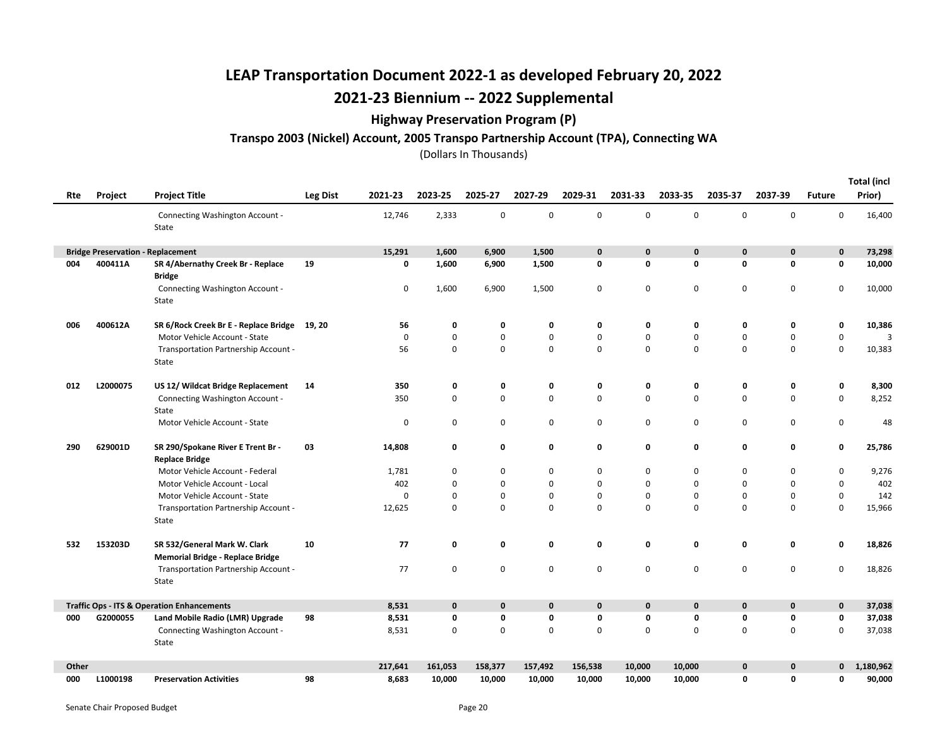### Highway Preservation Program (P)

### Transpo 2003 (Nickel) Account, 2005 Transpo Partnership Account (TPA), Connecting WA

|       |          |                                                                         |          |         |              |              |             |             |             |              |             |             |               | <b>Total (incl</b> |
|-------|----------|-------------------------------------------------------------------------|----------|---------|--------------|--------------|-------------|-------------|-------------|--------------|-------------|-------------|---------------|--------------------|
| Rte   | Project  | <b>Project Title</b>                                                    | Leg Dist | 2021-23 | 2023-25      | 2025-27      | 2027-29     | 2029-31     | 2031-33     | 2033-35      | 2035-37     | 2037-39     | <b>Future</b> | Prior)             |
|       |          | Connecting Washington Account -<br>State                                |          | 12,746  | 2,333        | 0            | 0           | 0           | $\mathbf 0$ | $\mathbf 0$  | $\mathsf 0$ | $\mathsf 0$ | $\mathbf 0$   | 16,400             |
|       |          | <b>Bridge Preservation - Replacement</b>                                |          | 15,291  | 1,600        | 6,900        | 1,500       | $\mathbf 0$ | $\mathbf 0$ | $\mathbf{0}$ | $\mathbf 0$ | $\mathbf 0$ | $\mathbf 0$   | 73,298             |
| 004   | 400411A  | SR 4/Abernathy Creek Br - Replace<br><b>Bridge</b>                      | 19       | 0       | 1,600        | 6,900        | 1,500       | 0           | 0           | 0            | $\mathbf 0$ | 0           | $\mathbf 0$   | 10,000             |
|       |          | Connecting Washington Account -<br>State                                |          | 0       | 1,600        | 6,900        | 1,500       | 0           | 0           | 0            | $\pmb{0}$   | $\mathsf 0$ | $\pmb{0}$     | 10,000             |
| 006   | 400612A  | SR 6/Rock Creek Br E - Replace Bridge                                   | 19, 20   | 56      | 0            | 0            | 0           | 0           | 0           | 0            | 0           | 0           | 0             | 10,386             |
|       |          | Motor Vehicle Account - State                                           |          | 0       | $\pmb{0}$    | 0            | 0           | 0           | $\pmb{0}$   | $\mathbf 0$  | $\mathbf 0$ | $\mathsf 0$ | $\mathsf 0$   | $\overline{3}$     |
|       |          | Transportation Partnership Account -<br>State                           |          | 56      | 0            | $\mathbf 0$  | $\mathbf 0$ | $\mathbf 0$ | $\mathbf 0$ | $\mathbf 0$  | $\mathbf 0$ | 0           | $\mathbf 0$   | 10,383             |
| 012   | L2000075 | US 12/ Wildcat Bridge Replacement                                       | 14       | 350     | 0            | 0            | 0           | 0           | 0           | 0            | 0           | 0           | 0             | 8,300              |
|       |          | Connecting Washington Account -<br>State                                |          | 350     | 0            | $\mathbf 0$  | $\mathsf 0$ | 0           | $\pmb{0}$   | $\mathbf 0$  | $\mathbf 0$ | $\mathsf 0$ | $\mathsf 0$   | 8,252              |
|       |          | Motor Vehicle Account - State                                           |          | 0       | 0            | 0            | 0           | 0           | $\mathbf 0$ | 0            | $\mathbf 0$ | 0           | 0             | 48                 |
| 290   | 629001D  | SR 290/Spokane River E Trent Br -<br><b>Replace Bridge</b>              | 03       | 14,808  | 0            | 0            | 0           | 0           | 0           | 0            | 0           | 0           | $\mathbf 0$   | 25,786             |
|       |          | Motor Vehicle Account - Federal                                         |          | 1,781   | 0            | 0            | 0           | 0           | 0           | 0            | $\mathbf 0$ | 0           | $\mathbf 0$   | 9,276              |
|       |          | Motor Vehicle Account - Local                                           |          | 402     | 0            | 0            | 0           | 0           | $\mathbf 0$ | $\mathbf 0$  | $\mathbf 0$ | 0           | $\mathbf 0$   | 402                |
|       |          | Motor Vehicle Account - State                                           |          | 0       | 0            | 0            | $\mathsf 0$ | 0           | $\mathbf 0$ | 0            | $\mathbf 0$ | 0           | $\mathbf 0$   | 142                |
|       |          | Transportation Partnership Account -<br>State                           |          | 12,625  | 0            | $\mathbf 0$  | 0           | $\mathbf 0$ | $\mathbf 0$ | $\mathbf 0$  | $\mathbf 0$ | $\mathbf 0$ | $\mathbf 0$   | 15,966             |
| 532   | 153203D  | SR 532/General Mark W. Clark<br><b>Memorial Bridge - Replace Bridge</b> | 10       | 77      | 0            | 0            | 0           | 0           | 0           | $\mathbf 0$  | $\mathbf 0$ | 0           | $\mathbf 0$   | 18,826             |
|       |          | Transportation Partnership Account -<br>State                           |          | 77      | 0            | 0            | 0           | 0           | $\mathbf 0$ | 0            | $\mathbf 0$ | 0           | $\mathbf 0$   | 18,826             |
|       |          | <b>Traffic Ops - ITS &amp; Operation Enhancements</b>                   |          | 8,531   | $\mathbf{0}$ | $\mathbf{0}$ | 0           | 0           | $\mathbf 0$ | $\mathbf{0}$ | $\mathbf 0$ | $\mathbf 0$ | $\mathbf 0$   | 37,038             |
| 000   | G2000055 | Land Mobile Radio (LMR) Upgrade                                         | 98       | 8,531   | 0            | 0            | 0           | 0           | $\mathbf 0$ | $\mathbf 0$  | 0           | 0           | 0             | 37,038             |
|       |          | Connecting Washington Account -<br>State                                |          | 8,531   | 0            | 0            | $\mathsf 0$ | $\mathsf 0$ | $\mathbf 0$ | $\mathbf 0$  | $\mathbf 0$ | $\mathsf 0$ | $\mathbf 0$   | 37,038             |
| Other |          |                                                                         |          | 217,641 | 161,053      | 158,377      | 157,492     | 156,538     | 10,000      | 10,000       | $\bf{0}$    | $\mathbf 0$ | 0             | 1,180,962          |
| 000   | L1000198 | <b>Preservation Activities</b>                                          | 98       | 8,683   | 10,000       | 10,000       | 10,000      | 10,000      | 10,000      | 10,000       | 0           | $\mathbf 0$ | O             | 90,000             |